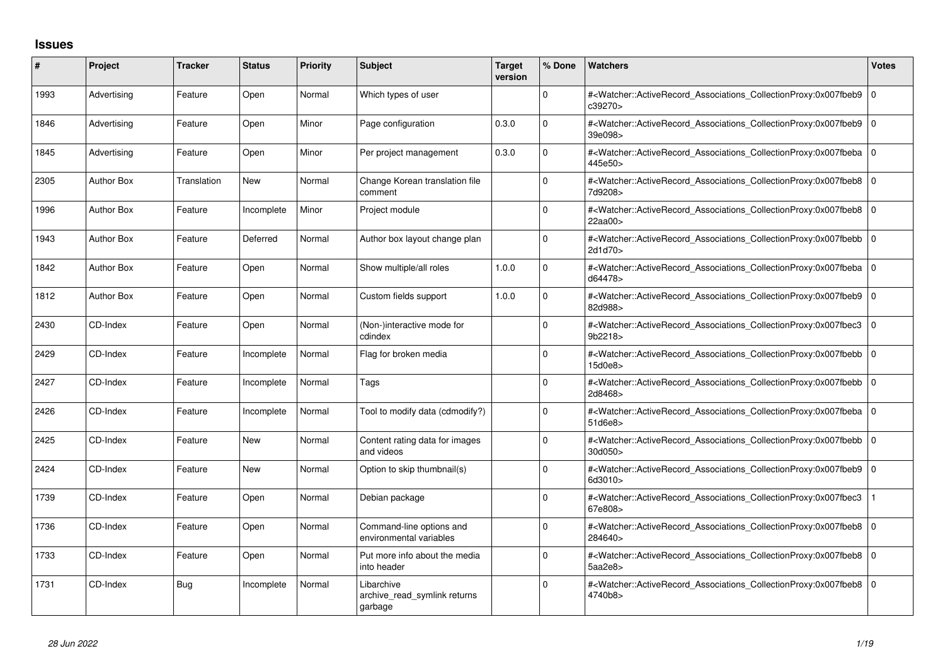## **Issues**

| #    | Project           | <b>Tracker</b> | <b>Status</b> | <b>Priority</b> | <b>Subject</b>                                        | <b>Target</b><br>version | % Done       | <b>Watchers</b>                                                                                                                                          | <b>Votes</b>   |
|------|-------------------|----------------|---------------|-----------------|-------------------------------------------------------|--------------------------|--------------|----------------------------------------------------------------------------------------------------------------------------------------------------------|----------------|
| 1993 | Advertising       | Feature        | Open          | Normal          | Which types of user                                   |                          | $\Omega$     | # <watcher::activerecord_associations_collectionproxy:0x007fbeb9 0<br="">c39270&gt;</watcher::activerecord_associations_collectionproxy:0x007fbeb9>      |                |
| 1846 | Advertising       | Feature        | Open          | Minor           | Page configuration                                    | 0.3.0                    | $\Omega$     | # <watcher::activerecord 0<br="" associations="" collectionproxy:0x007fbeb9=""  ="">39e098&gt;</watcher::activerecord>                                   |                |
| 1845 | Advertising       | Feature        | Open          | Minor           | Per project management                                | 0.3.0                    | $\Omega$     | # <watcher::activerecord_associations_collectionproxy:0x007fbeba 0<br="">445e50&gt;</watcher::activerecord_associations_collectionproxy:0x007fbeba>      |                |
| 2305 | <b>Author Box</b> | Translation    | <b>New</b>    | Normal          | Change Korean translation file<br>comment             |                          | $\Omega$     | # <watcher::activerecord_associations_collectionproxy:0x007fbeb8 0<br="">7d9208&gt;</watcher::activerecord_associations_collectionproxy:0x007fbeb8>      |                |
| 1996 | <b>Author Box</b> | Feature        | Incomplete    | Minor           | Project module                                        |                          | 0            | # <watcher::activerecord 0<br="" associations="" collectionproxy:0x007fbeb8=""  ="">22aa00&gt;</watcher::activerecord>                                   |                |
| 1943 | <b>Author Box</b> | Feature        | Deferred      | Normal          | Author box layout change plan                         |                          | $\Omega$     | # <watcher::activerecord_associations_collectionproxy:0x007fbebb 0<br="">2d1d70&gt;</watcher::activerecord_associations_collectionproxy:0x007fbebb>      |                |
| 1842 | <b>Author Box</b> | Feature        | Open          | Normal          | Show multiple/all roles                               | 1.0.0                    | $\Omega$     | # <watcher::activerecord_associations_collectionproxy:0x007fbeba 0<br=""  ="">d64478&gt;</watcher::activerecord_associations_collectionproxy:0x007fbeba> |                |
| 1812 | <b>Author Box</b> | Feature        | Open          | Normal          | Custom fields support                                 | 1.0.0                    | $\Omega$     | # <watcher::activerecord_associations_collectionproxy:0x007fbeb9 0<br="">82d988&gt;</watcher::activerecord_associations_collectionproxy:0x007fbeb9>      |                |
| 2430 | CD-Index          | Feature        | Open          | Normal          | (Non-)interactive mode for<br>cdindex                 |                          | <sup>0</sup> | # <watcher::activerecord associations="" collectionproxy:0x007fbec3<br="">9b2218&gt;</watcher::activerecord>                                             | $\overline{0}$ |
| 2429 | CD-Index          | Feature        | Incomplete    | Normal          | Flag for broken media                                 |                          | $\Omega$     | # <watcher::activerecord_associations_collectionproxy:0x007fbebb 0<br="">15d0e8</watcher::activerecord_associations_collectionproxy:0x007fbebb>          |                |
| 2427 | CD-Index          | Feature        | Incomplete    | Normal          | Tags                                                  |                          | $\Omega$     | # <watcher::activerecord 0<br="" associations="" collectionproxy:0x007fbebb=""  ="">2d8468&gt;</watcher::activerecord>                                   |                |
| 2426 | CD-Index          | Feature        | Incomplete    | Normal          | Tool to modify data (cdmodify?)                       |                          | $\Omega$     | # <watcher::activerecord_associations_collectionproxy:0x007fbeba 0<br="">51d6e8&gt;</watcher::activerecord_associations_collectionproxy:0x007fbeba>      |                |
| 2425 | CD-Index          | Feature        | <b>New</b>    | Normal          | Content rating data for images<br>and videos          |                          | 0            | # <watcher::activerecord_associations_collectionproxy:0x007fbebb 0<br="">30d050&gt;</watcher::activerecord_associations_collectionproxy:0x007fbebb>      |                |
| 2424 | CD-Index          | Feature        | <b>New</b>    | Normal          | Option to skip thumbnail(s)                           |                          | $\Omega$     | # <watcher::activerecord associations="" collectionproxy:0x007fbeb9<br="">6d3010&gt;</watcher::activerecord>                                             | $\overline{0}$ |
| 1739 | CD-Index          | Feature        | Open          | Normal          | Debian package                                        |                          | $\Omega$     | # <watcher::activerecord_associations_collectionproxy:0x007fbec3<br>67e808&gt;</watcher::activerecord_associations_collectionproxy:0x007fbec3<br>        |                |
| 1736 | CD-Index          | Feature        | Open          | Normal          | Command-line options and<br>environmental variables   |                          | $\Omega$     | # <watcher::activerecord 0<br="" associations="" collectionproxy:0x007fbeb8=""  ="">284640&gt;</watcher::activerecord>                                   |                |
| 1733 | CD-Index          | Feature        | Open          | Normal          | Put more info about the media<br>into header          |                          | <sup>0</sup> | # <watcher::activerecord_associations_collectionproxy:0x007fbeb8 0<br="">5aa2e8</watcher::activerecord_associations_collectionproxy:0x007fbeb8>          |                |
| 1731 | CD-Index          | Bug            | Incomplete    | Normal          | Libarchive<br>archive read symlink returns<br>garbage |                          | $\Omega$     | # <watcher::activerecord 0<br="" associations="" collectionproxy:0x007fbeb8=""  ="">4740b8&gt;</watcher::activerecord>                                   |                |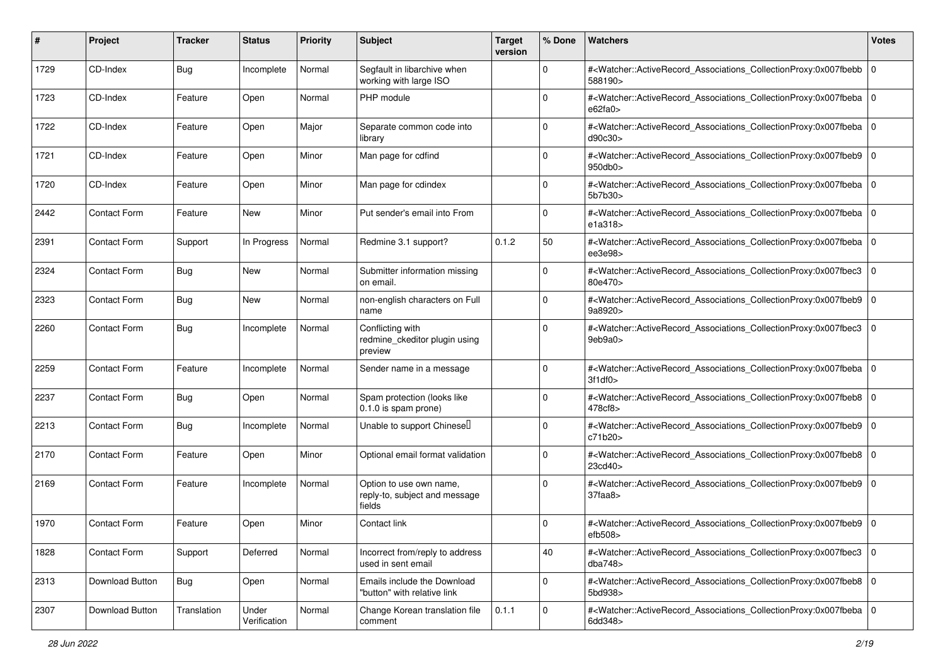| #    | Project             | <b>Tracker</b> | <b>Status</b>         | <b>Priority</b> | <b>Subject</b>                                                     | <b>Target</b><br>version | % Done      | <b>Watchers</b>                                                                                                                                          | <b>Votes</b> |
|------|---------------------|----------------|-----------------------|-----------------|--------------------------------------------------------------------|--------------------------|-------------|----------------------------------------------------------------------------------------------------------------------------------------------------------|--------------|
| 1729 | CD-Index            | <b>Bug</b>     | Incomplete            | Normal          | Segfault in libarchive when<br>working with large ISO              |                          | 0           | # <watcher::activerecord_associations_collectionproxy:0x007fbebb<br>588190&gt;</watcher::activerecord_associations_collectionproxy:0x007fbebb<br>        | 0            |
| 1723 | CD-Index            | Feature        | Open                  | Normal          | PHP module                                                         |                          | 0           | # <watcher::activerecord_associations_collectionproxy:0x007fbeba 0<br="">e62fa0&gt;</watcher::activerecord_associations_collectionproxy:0x007fbeba>      |              |
| 1722 | CD-Index            | Feature        | Open                  | Major           | Separate common code into<br>library                               |                          | 0           | # <watcher::activerecord_associations_collectionproxy:0x007fbeba 0<br=""  ="">d90c30&gt;</watcher::activerecord_associations_collectionproxy:0x007fbeba> |              |
| 1721 | CD-Index            | Feature        | Open                  | Minor           | Man page for cdfind                                                |                          | $\Omega$    | # <watcher::activerecord_associations_collectionproxy:0x007fbeb9<br>950db0</watcher::activerecord_associations_collectionproxy:0x007fbeb9<br>            | l 0          |
| 1720 | CD-Index            | Feature        | Open                  | Minor           | Man page for cdindex                                               |                          | $\Omega$    | # <watcher::activerecord_associations_collectionproxy:0x007fbeba<br>5b7b30&gt;</watcher::activerecord_associations_collectionproxy:0x007fbeba<br>        | l O          |
| 2442 | <b>Contact Form</b> | Feature        | <b>New</b>            | Minor           | Put sender's email into From                                       |                          | $\Omega$    | # <watcher::activerecord_associations_collectionproxy:0x007fbeba<br>e1a318&gt;</watcher::activerecord_associations_collectionproxy:0x007fbeba<br>        | l 0          |
| 2391 | Contact Form        | Support        | In Progress           | Normal          | Redmine 3.1 support?                                               | 0.1.2                    | 50          | # <watcher::activerecord_associations_collectionproxy:0x007fbeba<br>ee3e98&gt;</watcher::activerecord_associations_collectionproxy:0x007fbeba<br>        | 0            |
| 2324 | Contact Form        | <b>Bug</b>     | New                   | Normal          | Submitter information missing<br>on email.                         |                          | $\mathbf 0$ | # <watcher::activerecord_associations_collectionproxy:0x007fbec3<br>80e470&gt;</watcher::activerecord_associations_collectionproxy:0x007fbec3<br>        | l 0          |
| 2323 | Contact Form        | <b>Bug</b>     | New                   | Normal          | non-english characters on Full<br>name                             |                          | $\Omega$    | # <watcher::activerecord_associations_collectionproxy:0x007fbeb9 0<br="">9a8920&gt;</watcher::activerecord_associations_collectionproxy:0x007fbeb9>      |              |
| 2260 | Contact Form        | <b>Bug</b>     | Incomplete            | Normal          | Conflicting with<br>redmine_ckeditor plugin using<br>preview       |                          | 0           | # <watcher::activerecord_associations_collectionproxy:0x007fbec3<br>9eb9a0&gt;</watcher::activerecord_associations_collectionproxy:0x007fbec3<br>        | 0            |
| 2259 | <b>Contact Form</b> | Feature        | Incomplete            | Normal          | Sender name in a message                                           |                          | $\Omega$    | # <watcher::activerecord_associations_collectionproxy:0x007fbeba 0<br=""  ="">3f1df0</watcher::activerecord_associations_collectionproxy:0x007fbeba>     |              |
| 2237 | <b>Contact Form</b> | <b>Bug</b>     | Open                  | Normal          | Spam protection (looks like<br>0.1.0 is spam prone)                |                          | $\Omega$    | # <watcher::activerecord_associations_collectionproxy:0x007fbeb8 0<br=""  ="">478cf8&gt;</watcher::activerecord_associations_collectionproxy:0x007fbeb8> |              |
| 2213 | <b>Contact Form</b> | <b>Bug</b>     | Incomplete            | Normal          | Unable to support Chinesel                                         |                          | $\Omega$    | # <watcher::activerecord_associations_collectionproxy:0x007fbeb9 0<br="">c71b20&gt;</watcher::activerecord_associations_collectionproxy:0x007fbeb9>      |              |
| 2170 | <b>Contact Form</b> | Feature        | Open                  | Minor           | Optional email format validation                                   |                          | $\Omega$    | # <watcher::activerecord_associations_collectionproxy:0x007fbeb8<br>23cd40&gt;</watcher::activerecord_associations_collectionproxy:0x007fbeb8<br>        | 0            |
| 2169 | <b>Contact Form</b> | Feature        | Incomplete            | Normal          | Option to use own name,<br>reply-to, subject and message<br>fields |                          | $\Omega$    | # <watcher::activerecord_associations_collectionproxy:0x007fbeb9 0<br="">37faa8&gt;</watcher::activerecord_associations_collectionproxy:0x007fbeb9>      |              |
| 1970 | <b>Contact Form</b> | Feature        | Open                  | Minor           | Contact link                                                       |                          | 0           | # <watcher::activerecord_associations_collectionproxy:0x007fbeb9 0<br="">efb508</watcher::activerecord_associations_collectionproxy:0x007fbeb9>          |              |
| 1828 | Contact Form        | Support        | Deferred              | Normal          | Incorrect from/reply to address<br>used in sent email              |                          | 40          | # <watcher::activerecord 0<br="" associations="" collectionproxy:0x007fbec3="">dba748</watcher::activerecord>                                            |              |
| 2313 | Download Button     | Bug            | Open                  | Normal          | Emails include the Download<br>"button" with relative link         |                          | $\mathbf 0$ | # <watcher::activerecord_associations_collectionproxy:0x007fbeb8 0<br="">5bd938&gt;</watcher::activerecord_associations_collectionproxy:0x007fbeb8>      |              |
| 2307 | Download Button     | Translation    | Under<br>Verification | Normal          | Change Korean translation file<br>comment                          | 0.1.1                    | $\mathbf 0$ | # <watcher::activerecord_associations_collectionproxy:0x007fbeba 0<br="">6dd348&gt;</watcher::activerecord_associations_collectionproxy:0x007fbeba>      |              |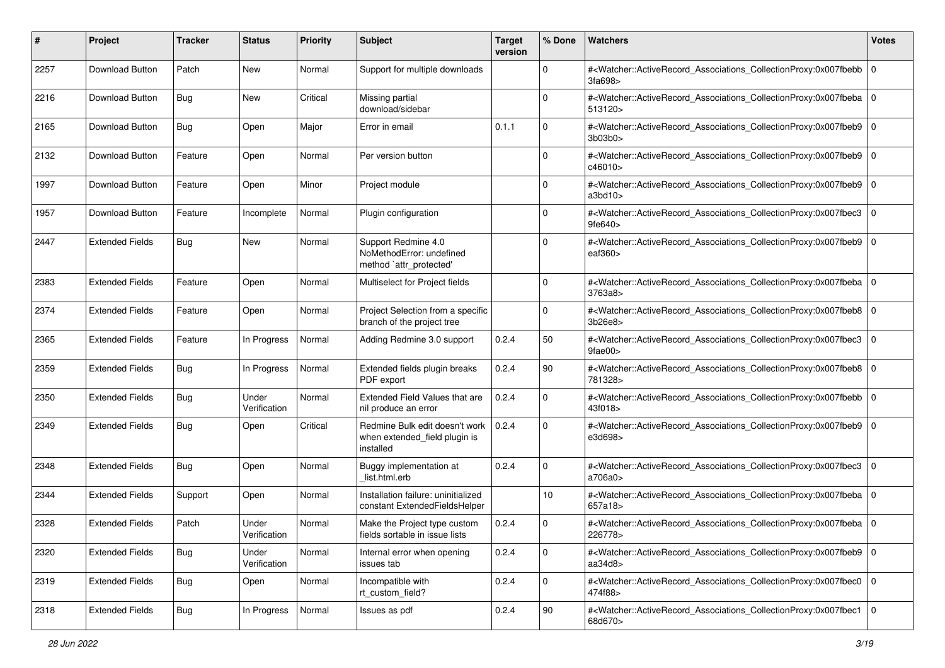| #    | Project                | <b>Tracker</b> | <b>Status</b>         | <b>Priority</b> | <b>Subject</b>                                                                       | <b>Target</b><br>version | % Done      | <b>Watchers</b>                                                                                                                                              | <b>Votes</b>   |
|------|------------------------|----------------|-----------------------|-----------------|--------------------------------------------------------------------------------------|--------------------------|-------------|--------------------------------------------------------------------------------------------------------------------------------------------------------------|----------------|
| 2257 | Download Button        | Patch          | New                   | Normal          | Support for multiple downloads                                                       |                          | $\mathbf 0$ | # <watcher::activerecord_associations_collectionproxy:0x007fbebb<br>3fa698&gt;</watcher::activerecord_associations_collectionproxy:0x007fbebb<br>            | l O            |
| 2216 | Download Button        | <b>Bug</b>     | New                   | Critical        | Missing partial<br>download/sidebar                                                  |                          | 0           | # <watcher::activerecord_associations_collectionproxy:0x007fbeba 0<br=""  ="">513120&gt;</watcher::activerecord_associations_collectionproxy:0x007fbeba>     |                |
| 2165 | Download Button        | <b>Bug</b>     | Open                  | Major           | Error in email                                                                       | 0.1.1                    | $\Omega$    | # <watcher::activerecord_associations_collectionproxy:0x007fbeb9 0<br="">3b03b0&gt;</watcher::activerecord_associations_collectionproxy:0x007fbeb9>          |                |
| 2132 | Download Button        | Feature        | Open                  | Normal          | Per version button                                                                   |                          | $\Omega$    | # <watcher::activerecord_associations_collectionproxy:0x007fbeb9<br>c46010&gt;</watcher::activerecord_associations_collectionproxy:0x007fbeb9<br>            | $\overline{0}$ |
| 1997 | Download Button        | Feature        | Open                  | Minor           | Project module                                                                       |                          | $\Omega$    | # <watcher::activerecord_associations_collectionproxy:0x007fbeb9 0<br=""  ="">a3bd10&gt;</watcher::activerecord_associations_collectionproxy:0x007fbeb9>     |                |
| 1957 | Download Button        | Feature        | Incomplete            | Normal          | Plugin configuration                                                                 |                          | 0           | # <watcher::activerecord_associations_collectionproxy:0x007fbec3<br>9fe640&gt;</watcher::activerecord_associations_collectionproxy:0x007fbec3<br>            | $\mathbf 0$    |
| 2447 | <b>Extended Fields</b> | <b>Bug</b>     | New                   | Normal          | Support Redmine 4.0<br>NoMethodError: undefined<br>method `attr_protected'           |                          | $\Omega$    | # <watcher::activerecord_associations_collectionproxy:0x007fbeb9 0<br="">eaf360&gt;</watcher::activerecord_associations_collectionproxy:0x007fbeb9>          |                |
| 2383 | <b>Extended Fields</b> | Feature        | Open                  | Normal          | Multiselect for Project fields                                                       |                          | $\Omega$    | # <watcher::activerecord_associations_collectionproxy:0x007fbeba 0<br=""  ="">3763a8&gt;</watcher::activerecord_associations_collectionproxy:0x007fbeba>     |                |
| 2374 | <b>Extended Fields</b> | Feature        | Open                  | Normal          | Project Selection from a specific<br>branch of the project tree                      |                          | $\mathbf 0$ | # <watcher::activerecord_associations_collectionproxy:0x007fbeb8<br>3b26e8&gt;</watcher::activerecord_associations_collectionproxy:0x007fbeb8<br>            | l O            |
| 2365 | <b>Extended Fields</b> | Feature        | In Progress           | Normal          | Adding Redmine 3.0 support                                                           | 0.2.4                    | 50          | # <watcher::activerecord_associations_collectionproxy:0x007fbec3<br>9fae00&gt;</watcher::activerecord_associations_collectionproxy:0x007fbec3<br>            | 0              |
| 2359 | <b>Extended Fields</b> | Bug            | In Progress           | Normal          | Extended fields plugin breaks<br>PDF export                                          | 0.2.4                    | 90          | # <watcher::activerecord_associations_collectionproxy:0x007fbeb8 0<br="">781328&gt;</watcher::activerecord_associations_collectionproxy:0x007fbeb8>          |                |
| 2350 | <b>Extended Fields</b> | <b>Bug</b>     | Under<br>Verification | Normal          | Extended Field Values that are<br>nil produce an error                               | 0.2.4                    | $\mathbf 0$ | # <watcher::activerecord_associations_collectionproxy:0x007fbebb<br>43f018&gt;</watcher::activerecord_associations_collectionproxy:0x007fbebb<br>            | l O            |
| 2349 | <b>Extended Fields</b> | <b>Bug</b>     | Open                  | Critical        | Redmine Bulk edit doesn't work   0.2.4<br>when extended_field plugin is<br>installed |                          | $\mathbf 0$ | # <watcher::activerecord_associations_collectionproxy:0x007fbeb9 0<br=""  ="">e3d698&gt;</watcher::activerecord_associations_collectionproxy:0x007fbeb9>     |                |
| 2348 | <b>Extended Fields</b> | <b>Bug</b>     | Open                  | Normal          | Buggy implementation at<br>list.html.erb                                             | 0.2.4                    | $\mathbf 0$ | # <watcher::activerecord_associations_collectionproxy:0x007fbec3<br>a706a0&gt;</watcher::activerecord_associations_collectionproxy:0x007fbec3<br>            | l O            |
| 2344 | <b>Extended Fields</b> | Support        | Open                  | Normal          | Installation failure: uninitialized<br>constant ExtendedFieldsHelper                 |                          | 10          | # <watcher::activerecord_associations_collectionproxy:0x007fbeba<br>657a18&gt;</watcher::activerecord_associations_collectionproxy:0x007fbeba<br>            | $\overline{0}$ |
| 2328 | <b>Extended Fields</b> | Patch          | Under<br>Verification | Normal          | Make the Project type custom<br>fields sortable in issue lists                       | 0.2.4                    | $\mathbf 0$ | # <watcher::activerecord_associations_collectionproxy:0x007fbeba 0<br=""  ="">226778&gt;</watcher::activerecord_associations_collectionproxy:0x007fbeba>     |                |
| 2320 | <b>Extended Fields</b> | <b>Bug</b>     | Under<br>Verification | Normal          | Internal error when opening<br>issues tab                                            | 0.2.4                    | $\mathbf 0$ | # <watcher::activerecord_associations_collectionproxy:0x007fbeb9 0<br="">aa<math>34d8</math></watcher::activerecord_associations_collectionproxy:0x007fbeb9> |                |
| 2319 | <b>Extended Fields</b> | <b>Bug</b>     | Open                  | Normal          | Incompatible with<br>rt_custom_field?                                                | 0.2.4                    | $\mathbf 0$ | # <watcher::activerecord_associations_collectionproxy:0x007fbec0 0<br="">474f88&gt;</watcher::activerecord_associations_collectionproxy:0x007fbec0>          |                |
| 2318 | <b>Extended Fields</b> | <b>Bug</b>     | In Progress           | Normal          | Issues as pdf                                                                        | 0.2.4                    | 90          | # <watcher::activerecord_associations_collectionproxy:0x007fbec1 0<br="">68d670&gt;</watcher::activerecord_associations_collectionproxy:0x007fbec1>          |                |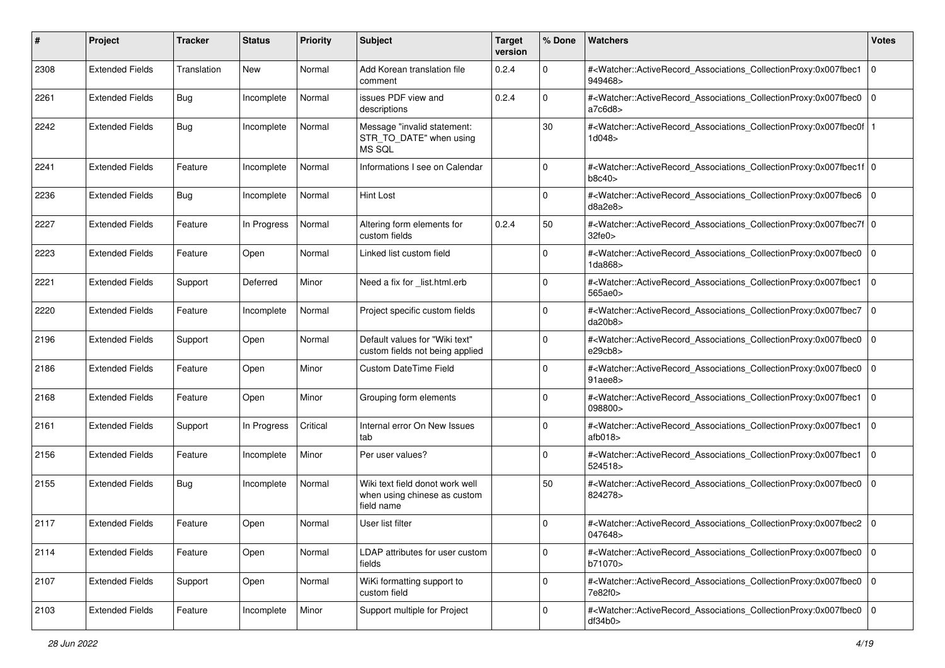| #    | Project                | <b>Tracker</b> | <b>Status</b> | <b>Priority</b> | <b>Subject</b>                                                                | <b>Target</b><br>version | % Done      | Watchers                                                                                                                                                  | <b>Votes</b> |
|------|------------------------|----------------|---------------|-----------------|-------------------------------------------------------------------------------|--------------------------|-------------|-----------------------------------------------------------------------------------------------------------------------------------------------------------|--------------|
| 2308 | <b>Extended Fields</b> | Translation    | <b>New</b>    | Normal          | Add Korean translation file<br>comment                                        | 0.2.4                    | $\mathbf 0$ | # <watcher::activerecord_associations_collectionproxy:0x007fbec1<br>949468&gt;</watcher::activerecord_associations_collectionproxy:0x007fbec1<br>         | 0            |
| 2261 | <b>Extended Fields</b> | <b>Bug</b>     | Incomplete    | Normal          | issues PDF view and<br>descriptions                                           | 0.2.4                    | $\Omega$    | # <watcher::activerecord_associations_collectionproxy:0x007fbec0<br>a7c6d8</watcher::activerecord_associations_collectionproxy:0x007fbec0<br>             | 0            |
| 2242 | <b>Extended Fields</b> | <b>Bug</b>     | Incomplete    | Normal          | Message "invalid statement:<br>STR_TO_DATE" when using<br>MS SQL              |                          | 30          | # <watcher::activerecord_associations_collectionproxy:0x007fbec0f<br>1d048&gt;</watcher::activerecord_associations_collectionproxy:0x007fbec0f<br>        |              |
| 2241 | <b>Extended Fields</b> | Feature        | Incomplete    | Normal          | Informations I see on Calendar                                                |                          | 0           | # <watcher::activerecord_associations_collectionproxy:0x007fbec1f 0<br=""  ="">b8c40</watcher::activerecord_associations_collectionproxy:0x007fbec1f>     |              |
| 2236 | <b>Extended Fields</b> | <b>Bug</b>     | Incomplete    | Normal          | <b>Hint Lost</b>                                                              |                          | $\mathbf 0$ | # <watcher::activerecord_associations_collectionproxy:0x007fbec6 0<br=""  ="">d8a2e8&gt;</watcher::activerecord_associations_collectionproxy:0x007fbec6>  |              |
| 2227 | <b>Extended Fields</b> | Feature        | In Progress   | Normal          | Altering form elements for<br>custom fields                                   | 0.2.4                    | 50          | # <watcher::activerecord_associations_collectionproxy:0x007fbec7f 0<br=""  ="">32fe0&gt;</watcher::activerecord_associations_collectionproxy:0x007fbec7f> |              |
| 2223 | <b>Extended Fields</b> | Feature        | Open          | Normal          | Linked list custom field                                                      |                          | $\Omega$    | # <watcher::activerecord_associations_collectionproxy:0x007fbec0<br>1da868&gt;</watcher::activerecord_associations_collectionproxy:0x007fbec0<br>         | 0            |
| 2221 | <b>Extended Fields</b> | Support        | Deferred      | Minor           | Need a fix for _list.html.erb                                                 |                          | $\Omega$    | # <watcher::activerecord_associations_collectionproxy:0x007fbec1<br>565ae0&gt;</watcher::activerecord_associations_collectionproxy:0x007fbec1<br>         | 0            |
| 2220 | <b>Extended Fields</b> | Feature        | Incomplete    | Normal          | Project specific custom fields                                                |                          | $\mathbf 0$ | # <watcher::activerecord_associations_collectionproxy:0x007fbec7<br>da20b8</watcher::activerecord_associations_collectionproxy:0x007fbec7<br>             | 0            |
| 2196 | <b>Extended Fields</b> | Support        | Open          | Normal          | Default values for "Wiki text"<br>custom fields not being applied             |                          | $\Omega$    | # <watcher::activerecord_associations_collectionproxy:0x007fbec0<br>e29cb8&gt;</watcher::activerecord_associations_collectionproxy:0x007fbec0<br>         | 0            |
| 2186 | <b>Extended Fields</b> | Feature        | Open          | Minor           | <b>Custom DateTime Field</b>                                                  |                          | 0           | # <watcher::activerecord_associations_collectionproxy:0x007fbec0<br>91aee8&gt;</watcher::activerecord_associations_collectionproxy:0x007fbec0<br>         | l 0          |
| 2168 | <b>Extended Fields</b> | Feature        | Open          | Minor           | Grouping form elements                                                        |                          | $\Omega$    | # <watcher::activerecord_associations_collectionproxy:0x007fbec1<br>098800&gt;</watcher::activerecord_associations_collectionproxy:0x007fbec1<br>         | 0            |
| 2161 | <b>Extended Fields</b> | Support        | In Progress   | Critical        | Internal error On New Issues<br>tab                                           |                          | $\mathbf 0$ | # <watcher::activerecord_associations_collectionproxy:0x007fbec1<br>atb018</watcher::activerecord_associations_collectionproxy:0x007fbec1<br>             | l O          |
| 2156 | <b>Extended Fields</b> | Feature        | Incomplete    | Minor           | Per user values?                                                              |                          | $\Omega$    | # <watcher::activerecord_associations_collectionproxy:0x007fbec1<br>524518&gt;</watcher::activerecord_associations_collectionproxy:0x007fbec1<br>         | 0            |
| 2155 | <b>Extended Fields</b> | <b>Bug</b>     | Incomplete    | Normal          | Wiki text field donot work well<br>when using chinese as custom<br>field name |                          | 50          | # <watcher::activerecord_associations_collectionproxy:0x007fbec0<br>824278&gt;</watcher::activerecord_associations_collectionproxy:0x007fbec0<br>         | 0            |
| 2117 | <b>Extended Fields</b> | Feature        | Open          | Normal          | User list filter                                                              |                          | 0           | # <watcher::activerecord_associations_collectionproxy:0x007fbec2<br>047648&gt;</watcher::activerecord_associations_collectionproxy:0x007fbec2<br>         | l O          |
| 2114 | <b>Extended Fields</b> | Feature        | Open          | Normal          | LDAP attributes for user custom<br>fields                                     |                          | $\mathbf 0$ | # <watcher::activerecord_associations_collectionproxy:0x007fbec0 0<br=""  ="">b71070&gt;</watcher::activerecord_associations_collectionproxy:0x007fbec0>  |              |
| 2107 | <b>Extended Fields</b> | Support        | Open          | Normal          | WiKi formatting support to<br>custom field                                    |                          | $\mathbf 0$ | # <watcher::activerecord_associations_collectionproxy:0x007fbec0 0<br="">7e82f0&gt;</watcher::activerecord_associations_collectionproxy:0x007fbec0>       |              |
| 2103 | <b>Extended Fields</b> | Feature        | Incomplete    | Minor           | Support multiple for Project                                                  |                          | $\mathbf 0$ | # <watcher::activerecord_associations_collectionproxy:0x007fbec0 0<br="">df34b0&gt;</watcher::activerecord_associations_collectionproxy:0x007fbec0>       |              |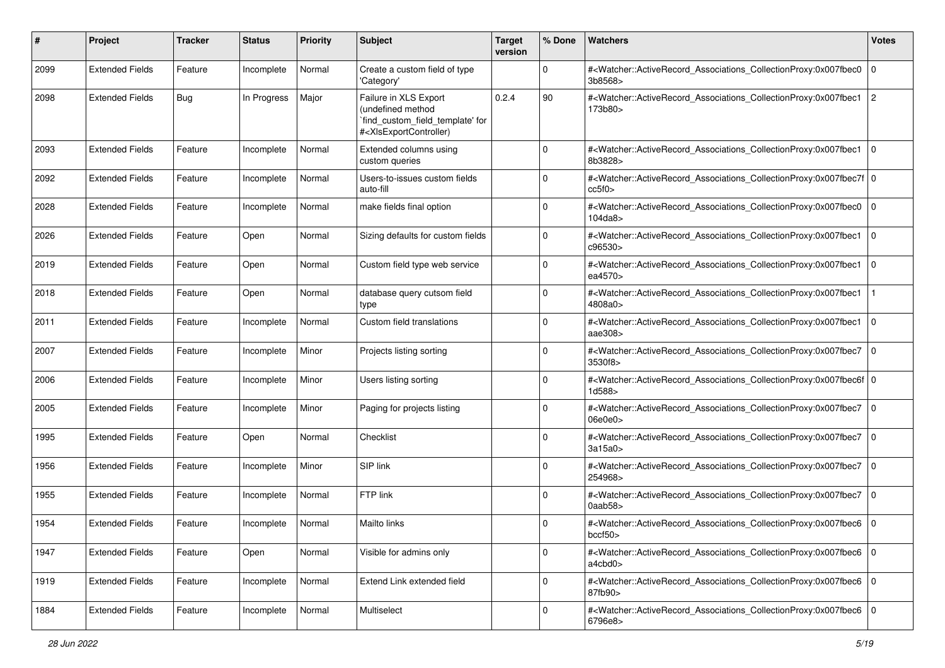| #    | Project                | <b>Tracker</b> | <b>Status</b> | <b>Priority</b> | <b>Subject</b>                                                                                                                                                                                                                                                                                                                        | <b>Target</b><br>version | % Done      | <b>Watchers</b>                                                                                                                                           | <b>Votes</b> |
|------|------------------------|----------------|---------------|-----------------|---------------------------------------------------------------------------------------------------------------------------------------------------------------------------------------------------------------------------------------------------------------------------------------------------------------------------------------|--------------------------|-------------|-----------------------------------------------------------------------------------------------------------------------------------------------------------|--------------|
| 2099 | <b>Extended Fields</b> | Feature        | Incomplete    | Normal          | Create a custom field of type<br>'Category'                                                                                                                                                                                                                                                                                           |                          | $\mathbf 0$ | # <watcher::activerecord_associations_collectionproxy:0x007fbec0<br>3b8568&gt;</watcher::activerecord_associations_collectionproxy:0x007fbec0<br>         | l 0          |
| 2098 | <b>Extended Fields</b> | <b>Bug</b>     | In Progress   | Major           | Failure in XLS Export<br>(undefined method<br>`find_custom_field_template' for<br># <xlsexportcontroller)< td=""><td>0.2.4</td><td>90</td><td>#<watcher::activerecord_associations_collectionproxy:0x007fbec1<br>173b80&gt;</watcher::activerecord_associations_collectionproxy:0x007fbec1<br></td><td>2</td></xlsexportcontroller)<> | 0.2.4                    | 90          | # <watcher::activerecord_associations_collectionproxy:0x007fbec1<br>173b80&gt;</watcher::activerecord_associations_collectionproxy:0x007fbec1<br>         | 2            |
| 2093 | <b>Extended Fields</b> | Feature        | Incomplete    | Normal          | Extended columns using<br>custom queries                                                                                                                                                                                                                                                                                              |                          | $\mathbf 0$ | # <watcher::activerecord_associations_collectionproxy:0x007fbec1 0<br=""  ="">8b3828&gt;</watcher::activerecord_associations_collectionproxy:0x007fbec1>  |              |
| 2092 | <b>Extended Fields</b> | Feature        | Incomplete    | Normal          | Users-to-issues custom fields<br>auto-fill                                                                                                                                                                                                                                                                                            |                          | $\Omega$    | # <watcher::activerecord_associations_collectionproxy:0x007fbec7f 0<br=""  ="">cc5f0</watcher::activerecord_associations_collectionproxy:0x007fbec7f>     |              |
| 2028 | <b>Extended Fields</b> | Feature        | Incomplete    | Normal          | make fields final option                                                                                                                                                                                                                                                                                                              |                          | $\Omega$    | # <watcher::activerecord_associations_collectionproxy:0x007fbec0 0<br=""  ="">104da8&gt;</watcher::activerecord_associations_collectionproxy:0x007fbec0>  |              |
| 2026 | <b>Extended Fields</b> | Feature        | Open          | Normal          | Sizing defaults for custom fields                                                                                                                                                                                                                                                                                                     |                          | $\Omega$    | # <watcher::activerecord_associations_collectionproxy:0x007fbec1<br>c96530&gt;</watcher::activerecord_associations_collectionproxy:0x007fbec1<br>         | 0            |
| 2019 | <b>Extended Fields</b> | Feature        | Open          | Normal          | Custom field type web service                                                                                                                                                                                                                                                                                                         |                          | $\mathbf 0$ | # <watcher::activerecord_associations_collectionproxy:0x007fbec1<br>ea4570&gt;</watcher::activerecord_associations_collectionproxy:0x007fbec1<br>         | l O          |
| 2018 | <b>Extended Fields</b> | Feature        | Open          | Normal          | database query cutsom field<br>type                                                                                                                                                                                                                                                                                                   |                          | 0           | # <watcher::activerecord_associations_collectionproxy:0x007fbec1<br>4808a0&gt;</watcher::activerecord_associations_collectionproxy:0x007fbec1<br>         |              |
| 2011 | <b>Extended Fields</b> | Feature        | Incomplete    | Normal          | Custom field translations                                                                                                                                                                                                                                                                                                             |                          | $\Omega$    | # <watcher::activerecord_associations_collectionproxy:0x007fbec1<br>aae308&gt;</watcher::activerecord_associations_collectionproxy:0x007fbec1<br>         | 0            |
| 2007 | <b>Extended Fields</b> | Feature        | Incomplete    | Minor           | Projects listing sorting                                                                                                                                                                                                                                                                                                              |                          | $\Omega$    | # <watcher::activerecord_associations_collectionproxy:0x007fbec7<br>3530f8&gt;</watcher::activerecord_associations_collectionproxy:0x007fbec7<br>         | l 0          |
| 2006 | <b>Extended Fields</b> | Feature        | Incomplete    | Minor           | Users listing sorting                                                                                                                                                                                                                                                                                                                 |                          | $\Omega$    | # <watcher::activerecord_associations_collectionproxy:0x007fbec6f 0<br=""  ="">1d588&gt;</watcher::activerecord_associations_collectionproxy:0x007fbec6f> |              |
| 2005 | <b>Extended Fields</b> | Feature        | Incomplete    | Minor           | Paging for projects listing                                                                                                                                                                                                                                                                                                           |                          | 0           | # <watcher::activerecord_associations_collectionproxy:0x007fbec7<br>06e0e0&gt;</watcher::activerecord_associations_collectionproxy:0x007fbec7<br>         | 0            |
| 1995 | <b>Extended Fields</b> | Feature        | Open          | Normal          | Checklist                                                                                                                                                                                                                                                                                                                             |                          | $\Omega$    | # <watcher::activerecord_associations_collectionproxy:0x007fbec7<br>3a15a0&gt;</watcher::activerecord_associations_collectionproxy:0x007fbec7<br>         | 0            |
| 1956 | <b>Extended Fields</b> | Feature        | Incomplete    | Minor           | SIP link                                                                                                                                                                                                                                                                                                                              |                          | $\mathbf 0$ | # <watcher::activerecord_associations_collectionproxy:0x007fbec7<br>254968&gt;</watcher::activerecord_associations_collectionproxy:0x007fbec7<br>         | 0            |
| 1955 | <b>Extended Fields</b> | Feature        | Incomplete    | Normal          | FTP link                                                                                                                                                                                                                                                                                                                              |                          | 0           | # <watcher::activerecord_associations_collectionproxy:0x007fbec7<br>0aab58&gt;</watcher::activerecord_associations_collectionproxy:0x007fbec7<br>         | $\mathbf 0$  |
| 1954 | <b>Extended Fields</b> | Feature        | Incomplete    | Normal          | Mailto links                                                                                                                                                                                                                                                                                                                          |                          | 0           | # <watcher::activerecord_associations_collectionproxy:0x007fbec6  <br="">bccf50</watcher::activerecord_associations_collectionproxy:0x007fbec6>           | l O          |
| 1947 | <b>Extended Fields</b> | Feature        | Open          | Normal          | Visible for admins only                                                                                                                                                                                                                                                                                                               |                          | 0           | # <watcher::activerecord_associations_collectionproxy:0x007fbec6 0<br=""  ="">a4cbd0&gt;</watcher::activerecord_associations_collectionproxy:0x007fbec6>  |              |
| 1919 | <b>Extended Fields</b> | Feature        | Incomplete    | Normal          | Extend Link extended field                                                                                                                                                                                                                                                                                                            |                          | $\mathbf 0$ | # <watcher::activerecord_associations_collectionproxy:0x007fbec6 0<br="">87fb90&gt;</watcher::activerecord_associations_collectionproxy:0x007fbec6>       |              |
| 1884 | <b>Extended Fields</b> | Feature        | Incomplete    | Normal          | Multiselect                                                                                                                                                                                                                                                                                                                           |                          | $\Omega$    | # <watcher::activerecord_associations_collectionproxy:0x007fbec6 0<br="">6796e8&gt;</watcher::activerecord_associations_collectionproxy:0x007fbec6>       |              |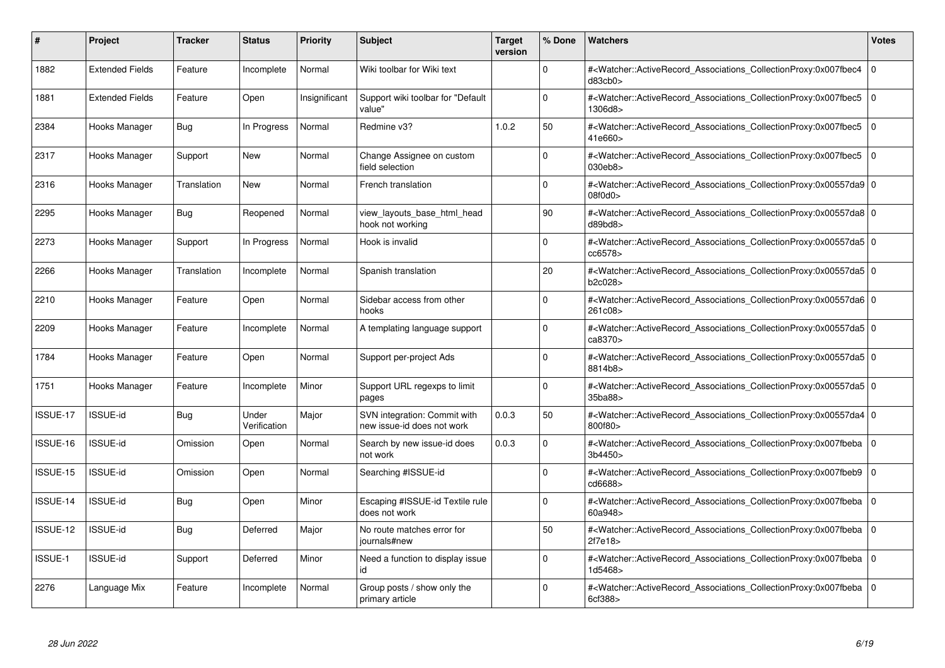| #              | Project                | Tracker     | <b>Status</b>         | <b>Priority</b> | <b>Subject</b>                                             | <b>Target</b><br>version | % Done   | <b>Watchers</b>                                                                                                                                          | <b>Votes</b> |
|----------------|------------------------|-------------|-----------------------|-----------------|------------------------------------------------------------|--------------------------|----------|----------------------------------------------------------------------------------------------------------------------------------------------------------|--------------|
| 1882           | <b>Extended Fields</b> | Feature     | Incomplete            | Normal          | Wiki toolbar for Wiki text                                 |                          | $\Omega$ | # <watcher::activerecord associations="" collectionproxy:0x007fbec4<br="">d83cb0&gt;</watcher::activerecord>                                             | $\mathbf{0}$ |
| 1881           | <b>Extended Fields</b> | Feature     | Open                  | Insignificant   | Support wiki toolbar for "Default<br>value"                |                          | $\Omega$ | # <watcher::activerecord associations="" collectionproxy:0x007fbec5<br="">1306d8&gt;</watcher::activerecord>                                             | $\mathbf 0$  |
| 2384           | Hooks Manager          | Bug         | In Progress           | Normal          | Redmine v3?                                                | 1.0.2                    | 50       | # <watcher::activerecord_associations_collectionproxy:0x007fbec5<br>41e660&gt;</watcher::activerecord_associations_collectionproxy:0x007fbec5<br>        | $\Omega$     |
| 2317           | Hooks Manager          | Support     | New                   | Normal          | Change Assignee on custom<br>field selection               |                          | $\Omega$ | # <watcher::activerecord_associations_collectionproxy:0x007fbec5 0<br="">030eb8</watcher::activerecord_associations_collectionproxy:0x007fbec5>          |              |
| 2316           | Hooks Manager          | Translation | New                   | Normal          | French translation                                         |                          | $\Omega$ | # <watcher::activerecord_associations_collectionproxy:0x00557da9 0<br=""  ="">08f0d0</watcher::activerecord_associations_collectionproxy:0x00557da9>     |              |
| 2295           | Hooks Manager          | <b>Bug</b>  | Reopened              | Normal          | view_layouts_base_html_head<br>hook not working            |                          | 90       | # <watcher::activerecord_associations_collectionproxy:0x00557da8 0<br="">d89bd8</watcher::activerecord_associations_collectionproxy:0x00557da8>          |              |
| 2273           | Hooks Manager          | Support     | In Progress           | Normal          | Hook is invalid                                            |                          | $\Omega$ | # <watcher::activerecord 0<br="" associations="" collectionproxy:0x00557da5=""  ="">cc6578</watcher::activerecord>                                       |              |
| 2266           | Hooks Manager          | Translation | Incomplete            | Normal          | Spanish translation                                        |                          | 20       | # <watcher::activerecord_associations_collectionproxy:0x00557da5 0<br=""  ="">b2c028&gt;</watcher::activerecord_associations_collectionproxy:0x00557da5> |              |
| 2210           | Hooks Manager          | Feature     | Open                  | Normal          | Sidebar access from other<br>hooks                         |                          | $\Omega$ | # <watcher::activerecord 0<br="" associations="" collectionproxy:0x00557da6=""  ="">261c08&gt;</watcher::activerecord>                                   |              |
| 2209           | Hooks Manager          | Feature     | Incomplete            | Normal          | A templating language support                              |                          | $\Omega$ | # <watcher::activerecord 0<br="" associations="" collectionproxy:0x00557da5=""  ="">ca8370&gt;</watcher::activerecord>                                   |              |
| 1784           | Hooks Manager          | Feature     | Open                  | Normal          | Support per-project Ads                                    |                          | $\Omega$ | # <watcher::activerecord_associations_collectionproxy:0x00557da5 0<br=""  ="">8814b8&gt;</watcher::activerecord_associations_collectionproxy:0x00557da5> |              |
| 1751           | Hooks Manager          | Feature     | Incomplete            | Minor           | Support URL regexps to limit<br>pages                      |                          | $\Omega$ | # <watcher::activerecord 0<br="" associations="" collectionproxy:0x00557da5=""  ="">35ba88&gt;</watcher::activerecord>                                   |              |
| ISSUE-17       | ISSUE-id               | Bug         | Under<br>Verification | Major           | SVN integration: Commit with<br>new issue-id does not work | 0.0.3                    | 50       | # <watcher::activerecord 0<br="" associations="" collectionproxy:0x00557da4=""  ="">800f80&gt;</watcher::activerecord>                                   |              |
| ISSUE-16       | <b>ISSUE-id</b>        | Omission    | Open                  | Normal          | Search by new issue-id does<br>not work                    | 0.0.3                    | $\Omega$ | # <watcher::activerecord_associations_collectionproxy:0x007fbeba 0<br=""  ="">3b4450&gt;</watcher::activerecord_associations_collectionproxy:0x007fbeba> |              |
| ISSUE-15       | <b>ISSUE-id</b>        | Omission    | Open                  | Normal          | Searching #ISSUE-id                                        |                          | $\Omega$ | # <watcher::activerecord 0<br="" associations="" collectionproxy:0x007fbeb9=""  ="">cd6688&gt;</watcher::activerecord>                                   |              |
| ISSUE-14       | <b>ISSUE-id</b>        | Bug         | Open                  | Minor           | Escaping #ISSUE-id Textile rule<br>does not work           |                          | $\Omega$ | # <watcher::activerecord_associations_collectionproxy:0x007fbeba 0<br=""  ="">60a948&gt;</watcher::activerecord_associations_collectionproxy:0x007fbeba> |              |
| ISSUE-12       | <b>ISSUE-id</b>        | Bug         | Deferred              | Major           | No route matches error for<br>journals#new                 |                          | 50       | # <watcher::activerecord_associations_collectionproxy:0x007fbeba 0<br=""  ="">2f7e18&gt;</watcher::activerecord_associations_collectionproxy:0x007fbeba> |              |
| <b>ISSUE-1</b> | <b>ISSUE-id</b>        | Support     | Deferred              | Minor           | Need a function to display issue<br>id                     |                          | $\Omega$ | # <watcher::activerecord 0<br="" associations="" collectionproxy:0x007fbeba=""  ="">1d5468&gt;</watcher::activerecord>                                   |              |
| 2276           | Language Mix           | Feature     | Incomplete            | Normal          | Group posts / show only the<br>primary article             |                          | $\Omega$ | # <watcher::activerecord_associations_collectionproxy:0x007fbeba 0<br=""  ="">6cf388&gt;</watcher::activerecord_associations_collectionproxy:0x007fbeba> |              |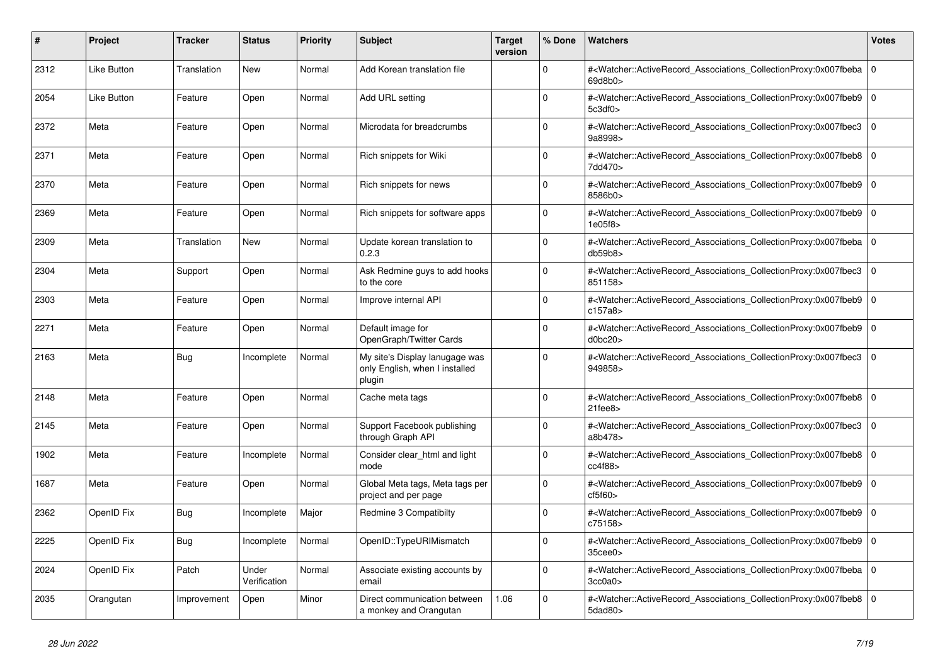| #    | <b>Project</b> | Tracker     | <b>Status</b>         | <b>Priority</b> | <b>Subject</b>                                                             | <b>Target</b><br>version | % Done   | <b>Watchers</b>                                                                                                                                          | <b>Votes</b> |
|------|----------------|-------------|-----------------------|-----------------|----------------------------------------------------------------------------|--------------------------|----------|----------------------------------------------------------------------------------------------------------------------------------------------------------|--------------|
| 2312 | Like Button    | Translation | <b>New</b>            | Normal          | Add Korean translation file                                                |                          | $\Omega$ | # <watcher::activerecord associations="" collectionproxy:0x007fbeba<br="">69d8b0&gt;</watcher::activerecord>                                             | $\mathbf 0$  |
| 2054 | Like Button    | Feature     | Open                  | Normal          | Add URL setting                                                            |                          | $\Omega$ | # <watcher::activerecord_associations_collectionproxy:0x007fbeb9<br>5c3df0&gt;</watcher::activerecord_associations_collectionproxy:0x007fbeb9<br>        | $\mathbf{0}$ |
| 2372 | Meta           | Feature     | Open                  | Normal          | Microdata for breadcrumbs                                                  |                          | $\Omega$ | # <watcher::activerecord_associations_collectionproxy:0x007fbec3 0<br="">9a8998&gt;</watcher::activerecord_associations_collectionproxy:0x007fbec3>      |              |
| 2371 | Meta           | Feature     | Open                  | Normal          | Rich snippets for Wiki                                                     |                          | $\Omega$ | # <watcher::activerecord 0<br="" associations="" collectionproxy:0x007fbeb8="">7dd470&gt;</watcher::activerecord>                                        |              |
| 2370 | Meta           | Feature     | Open                  | Normal          | Rich snippets for news                                                     |                          | $\Omega$ | # <watcher::activerecord_associations_collectionproxy:0x007fbeb9<br>8586b0&gt;</watcher::activerecord_associations_collectionproxy:0x007fbeb9<br>        | $\mathbf 0$  |
| 2369 | Meta           | Feature     | Open                  | Normal          | Rich snippets for software apps                                            |                          | $\Omega$ | # <watcher::activerecord_associations_collectionproxy:0x007fbeb9 0<br="">1e05f8</watcher::activerecord_associations_collectionproxy:0x007fbeb9>          |              |
| 2309 | Meta           | Translation | <b>New</b>            | Normal          | Update korean translation to<br>0.2.3                                      |                          | $\Omega$ | # <watcher::activerecord_associations_collectionproxy:0x007fbeba  <br="">db59b8</watcher::activerecord_associations_collectionproxy:0x007fbeba>          | $\mathbf 0$  |
| 2304 | Meta           | Support     | Open                  | Normal          | Ask Redmine guys to add hooks<br>to the core                               |                          | $\Omega$ | # <watcher::activerecord_associations_collectionproxy:0x007fbec3<br>851158&gt;</watcher::activerecord_associations_collectionproxy:0x007fbec3<br>        | $\mathbf 0$  |
| 2303 | Meta           | Feature     | Open                  | Normal          | Improve internal API                                                       |                          | $\Omega$ | # <watcher::activerecord_associations_collectionproxy:0x007fbeb9 0<br=""  ="">c157a8&gt;</watcher::activerecord_associations_collectionproxy:0x007fbeb9> |              |
| 2271 | Meta           | Feature     | Open                  | Normal          | Default image for<br>OpenGraph/Twitter Cards                               |                          | $\Omega$ | # <watcher::activerecord associations="" collectionproxy:0x007fbeb9<br="">d0bc20</watcher::activerecord>                                                 | $\mathbf 0$  |
| 2163 | Meta           | Bug         | Incomplete            | Normal          | My site's Display lanugage was<br>only English, when I installed<br>plugin |                          | $\Omega$ | # <watcher::activerecord associations="" collectionproxy:0x007fbec3<br="">949858&gt;</watcher::activerecord>                                             | $\mathbf 0$  |
| 2148 | Meta           | Feature     | Open                  | Normal          | Cache meta tags                                                            |                          | $\Omega$ | # <watcher::activerecord 0<br="" associations="" collectionproxy:0x007fbeb8=""  ="">21fee8</watcher::activerecord>                                       |              |
| 2145 | Meta           | Feature     | Open                  | Normal          | Support Facebook publishing<br>through Graph API                           |                          | $\Omega$ | # <watcher::activerecord_associations_collectionproxy:0x007fbec3<br>a8b478&gt;</watcher::activerecord_associations_collectionproxy:0x007fbec3<br>        | $\mathbf 0$  |
| 1902 | Meta           | Feature     | Incomplete            | Normal          | Consider clear_html and light<br>mode                                      |                          | $\Omega$ | # <watcher::activerecord_associations_collectionproxy:0x007fbeb8  <br="">cc4f88</watcher::activerecord_associations_collectionproxy:0x007fbeb8>          | $\mathbf 0$  |
| 1687 | Meta           | Feature     | Open                  | Normal          | Global Meta tags, Meta tags per<br>project and per page                    |                          | $\Omega$ | # <watcher::activerecord_associations_collectionproxy:0x007fbeb9  <br="">cf5f60</watcher::activerecord_associations_collectionproxy:0x007fbeb9>          | $\mathbf 0$  |
| 2362 | OpenID Fix     | Bug         | Incomplete            | Major           | Redmine 3 Compatibilty                                                     |                          | $\Omega$ | # <watcher::activerecord_associations_collectionproxy:0x007fbeb9<br>c75158&gt;</watcher::activerecord_associations_collectionproxy:0x007fbeb9<br>        | $\Omega$     |
| 2225 | OpenID Fix     | <b>Bug</b>  | Incomplete            | Normal          | OpenID::TypeURIMismatch                                                    |                          | $\Omega$ | # <watcher::activerecord associations="" collectionproxy:0x007fbeb9=""  <br=""><math>35</math>cee<math>0</math></watcher::activerecord>                  | $\mathbf 0$  |
| 2024 | OpenID Fix     | Patch       | Under<br>Verification | Normal          | Associate existing accounts by<br>email                                    |                          | $\Omega$ | # <watcher::activerecord_associations_collectionproxy:0x007fbeba 0<br=""  ="">3cc0a0&gt;</watcher::activerecord_associations_collectionproxy:0x007fbeba> |              |
| 2035 | Orangutan      | Improvement | Open                  | Minor           | Direct communication between<br>a monkey and Orangutan                     | 1.06                     | $\Omega$ | # <watcher::activerecord_associations_collectionproxy:0x007fbeb8<br>5dad80&gt;</watcher::activerecord_associations_collectionproxy:0x007fbeb8<br>        | $\Omega$     |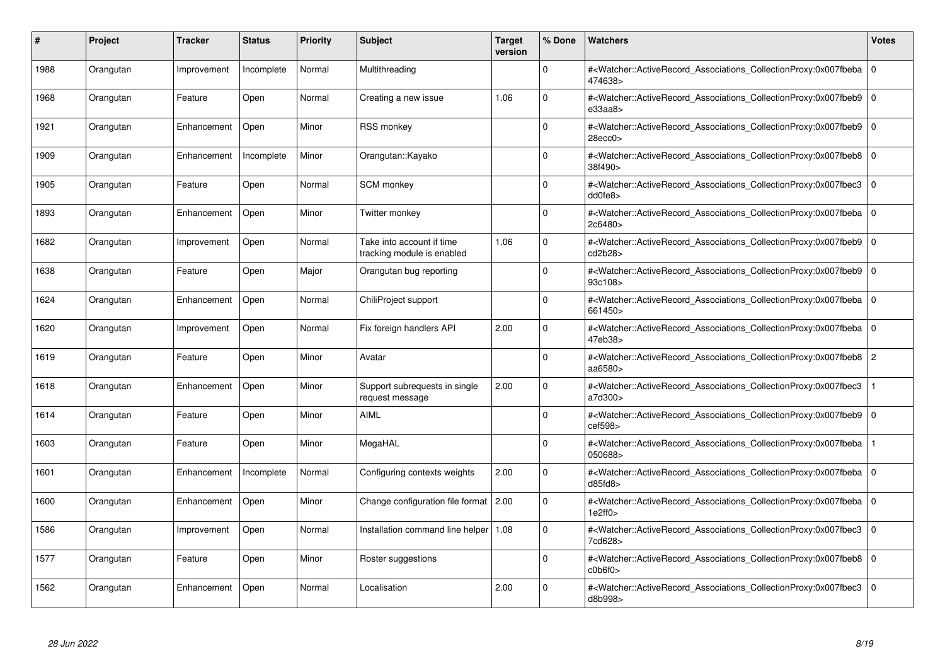| #    | Project   | <b>Tracker</b> | <b>Status</b> | <b>Priority</b> | <b>Subject</b>                                          | <b>Target</b><br>version | % Done      | <b>Watchers</b>                                                                                                                                          | <b>Votes</b> |
|------|-----------|----------------|---------------|-----------------|---------------------------------------------------------|--------------------------|-------------|----------------------------------------------------------------------------------------------------------------------------------------------------------|--------------|
| 1988 | Orangutan | Improvement    | Incomplete    | Normal          | Multithreading                                          |                          | $\Omega$    | # <watcher::activerecord_associations_collectionproxy:0x007fbeba<br>474638&gt;</watcher::activerecord_associations_collectionproxy:0x007fbeba<br>        | $\Omega$     |
| 1968 | Orangutan | Feature        | Open          | Normal          | Creating a new issue                                    | 1.06                     | $\Omega$    | # <watcher::activerecord associations="" collectionproxy:0x007fbeb9=""  <br="">e33aa8</watcher::activerecord>                                            | $\Omega$     |
| 1921 | Orangutan | Enhancement    | Open          | Minor           | <b>RSS monkey</b>                                       |                          | $\Omega$    | # <watcher::activerecord associations="" collectionproxy:0x007fbeb9<br="">28ecc0</watcher::activerecord>                                                 | $\mathbf 0$  |
| 1909 | Orangutan | Enhancement    | Incomplete    | Minor           | Orangutan::Kayako                                       |                          | $\Omega$    | # <watcher::activerecord_associations_collectionproxy:0x007fbeb8 0<br=""  ="">38f490&gt;</watcher::activerecord_associations_collectionproxy:0x007fbeb8> |              |
| 1905 | Orangutan | Feature        | Open          | Normal          | <b>SCM</b> monkey                                       |                          | $\Omega$    | # <watcher::activerecord associations="" collectionproxy:0x007fbec3<br="">dd0fe8</watcher::activerecord>                                                 | $\mathbf 0$  |
| 1893 | Orangutan | Enhancement    | Open          | Minor           | Twitter monkey                                          |                          | $\Omega$    | # <watcher::activerecord associations="" collectionproxy:0x007fbeba<br="">2c6480&gt;</watcher::activerecord>                                             | $\mathbf 0$  |
| 1682 | Orangutan | Improvement    | Open          | Normal          | Take into account if time<br>tracking module is enabled | 1.06                     | $\Omega$    | # <watcher::activerecord_associations_collectionproxy:0x007fbeb9  <br="">cd2b28&gt;</watcher::activerecord_associations_collectionproxy:0x007fbeb9>      | $\mathbf 0$  |
| 1638 | Orangutan | Feature        | Open          | Major           | Orangutan bug reporting                                 |                          | $\Omega$    | # <watcher::activerecord_associations_collectionproxy:0x007fbeb9  <br="">93c108&gt;</watcher::activerecord_associations_collectionproxy:0x007fbeb9>      | $\Omega$     |
| 1624 | Orangutan | Enhancement    | Open          | Normal          | ChiliProject support                                    |                          | $\Omega$    | # <watcher::activerecord associations="" collectionproxy:0x007fbeba<br="">661450&gt;</watcher::activerecord>                                             | $\mathbf 0$  |
| 1620 | Orangutan | Improvement    | Open          | Normal          | Fix foreign handlers API                                | 2.00                     | $\Omega$    | # <watcher::activerecord associations="" collectionproxy:0x007fbeba=""  <br="">47eb38&gt;</watcher::activerecord>                                        | $\mathbf 0$  |
| 1619 | Orangutan | Feature        | Open          | Minor           | Avatar                                                  |                          | $\Omega$    | # <watcher::activerecord_associations_collectionproxy:0x007fbeb8<br>aa6580&gt;</watcher::activerecord_associations_collectionproxy:0x007fbeb8<br>        | $\sqrt{2}$   |
| 1618 | Orangutan | Enhancement    | Open          | Minor           | Support subrequests in single<br>request message        | 2.00                     | $\Omega$    | # <watcher::activerecord_associations_collectionproxy:0x007fbec3<br>a7d300&gt;</watcher::activerecord_associations_collectionproxy:0x007fbec3<br>        |              |
| 1614 | Orangutan | Feature        | Open          | Minor           | <b>AIML</b>                                             |                          | $\Omega$    | # <watcher::activerecord associations="" collectionproxy:0x007fbeb9<br="">cef598&gt;</watcher::activerecord>                                             | $\mathbf 0$  |
| 1603 | Orangutan | Feature        | Open          | Minor           | MegaHAL                                                 |                          | $\mathbf 0$ | # <watcher::activerecord_associations_collectionproxy:0x007fbeba<br>050688&gt;</watcher::activerecord_associations_collectionproxy:0x007fbeba<br>        |              |
| 1601 | Orangutan | Enhancement    | Incomplete    | Normal          | Configuring contexts weights                            | 2.00                     | $\Omega$    | # <watcher::activerecord 0<br="" associations="" collectionproxy:0x007fbeba=""  ="">d85f d8</watcher::activerecord>                                      |              |
| 1600 | Orangutan | Enhancement    | Open          | Minor           | Change configuration file format 2.00                   |                          | $\Omega$    | # <watcher::activerecord associations="" collectionproxy:0x007fbeba<br="">1e2ff0</watcher::activerecord>                                                 | $\mathbf 0$  |
| 1586 | Orangutan | Improvement    | Open          | Normal          | Installation command line helper   1.08                 |                          | $\Omega$    | # <watcher::activerecord associations="" collectionproxy:0x007fbec3<br="">7cd628&gt;</watcher::activerecord>                                             | $\mathbf 0$  |
| 1577 | Orangutan | Feature        | Open          | Minor           | Roster suggestions                                      |                          | $\Omega$    | # <watcher::activerecord associations="" collectionproxy:0x007fbeb8<br="">c0b6f0</watcher::activerecord>                                                 | $\mathbf 0$  |
| 1562 | Orangutan | Enhancement    | Open          | Normal          | Localisation                                            | 2.00                     | $\Omega$    | # <watcher::activerecord_associations_collectionproxy:0x007fbec3  <br="">d8b998&gt;</watcher::activerecord_associations_collectionproxy:0x007fbec3>      | $\mathbf 0$  |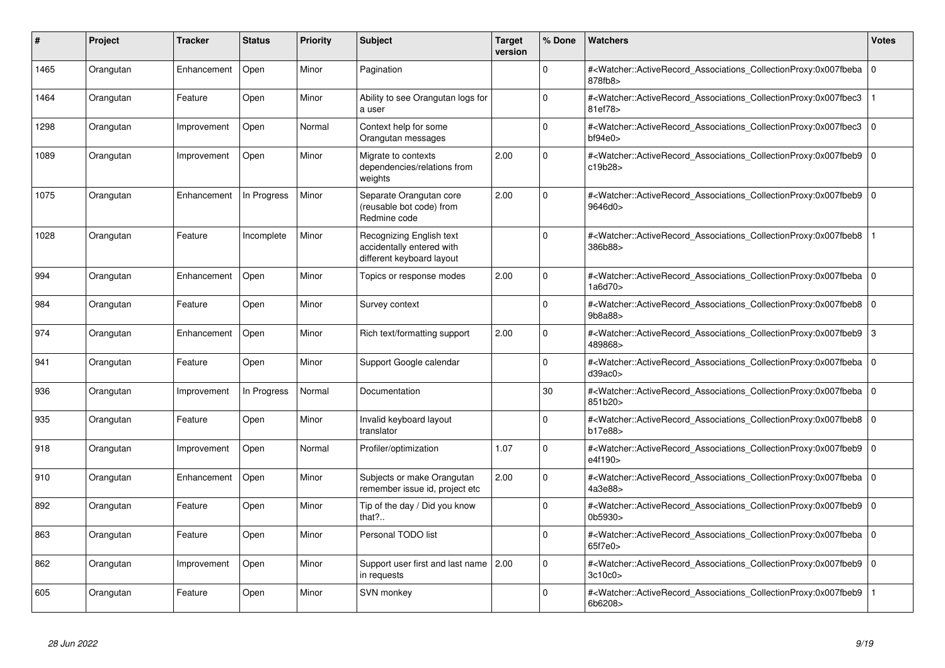| #    | Project   | <b>Tracker</b> | <b>Status</b> | <b>Priority</b> | <b>Subject</b>                                                                     | <b>Target</b><br>version | % Done      | <b>Watchers</b>                                                                                                                                   | <b>Votes</b>   |
|------|-----------|----------------|---------------|-----------------|------------------------------------------------------------------------------------|--------------------------|-------------|---------------------------------------------------------------------------------------------------------------------------------------------------|----------------|
| 1465 | Orangutan | Enhancement    | Open          | Minor           | Pagination                                                                         |                          | $\Omega$    | # <watcher::activerecord associations="" collectionproxy:0x007fbeba<br="">878fb8&gt;</watcher::activerecord>                                      | 0              |
| 1464 | Orangutan | Feature        | Open          | Minor           | Ability to see Orangutan logs for<br>a user                                        |                          | $\Omega$    | # <watcher::activerecord associations="" collectionproxy:0x007fbec3<br="">81ef78&gt;</watcher::activerecord>                                      |                |
| 1298 | Orangutan | Improvement    | Open          | Normal          | Context help for some<br>Orangutan messages                                        |                          | $\mathbf 0$ | # <watcher::activerecord associations="" collectionproxy:0x007fbec3<br="">bf94e0&gt;</watcher::activerecord>                                      | 0              |
| 1089 | Orangutan | Improvement    | Open          | Minor           | Migrate to contexts<br>dependencies/relations from<br>weights                      | 2.00                     | $\Omega$    | # <watcher::activerecord_associations_collectionproxy:0x007fbeb9<br>c19b28&gt;</watcher::activerecord_associations_collectionproxy:0x007fbeb9<br> | l O            |
| 1075 | Orangutan | Enhancement    | In Progress   | Minor           | Separate Orangutan core<br>(reusable bot code) from<br>Redmine code                | 2.00                     | $\Omega$    | # <watcher::activerecord associations="" collectionproxy:0x007fbeb9<br="">9646d0&gt;</watcher::activerecord>                                      | l O            |
| 1028 | Orangutan | Feature        | Incomplete    | Minor           | Recognizing English text<br>accidentally entered with<br>different keyboard layout |                          | $\Omega$    | # <watcher::activerecord associations="" collectionproxy:0x007fbeb8<br="">386b88&gt;</watcher::activerecord>                                      |                |
| 994  | Orangutan | Enhancement    | Open          | Minor           | Topics or response modes                                                           | 2.00                     | $\mathbf 0$ | # <watcher::activerecord associations="" collectionproxy:0x007fbeba<br="">1a6d70&gt;</watcher::activerecord>                                      | $\overline{0}$ |
| 984  | Orangutan | Feature        | Open          | Minor           | Survey context                                                                     |                          | $\Omega$    | # <watcher::activerecord_associations_collectionproxy:0x007fbeb8<br>9b8a88&gt;</watcher::activerecord_associations_collectionproxy:0x007fbeb8<br> | 0              |
| 974  | Orangutan | Enhancement    | Open          | Minor           | Rich text/formatting support                                                       | 2.00                     | $\Omega$    | # <watcher::activerecord_associations_collectionproxy:0x007fbeb9<br>489868&gt;</watcher::activerecord_associations_collectionproxy:0x007fbeb9<br> | 3              |
| 941  | Orangutan | Feature        | Open          | Minor           | Support Google calendar                                                            |                          | $\Omega$    | # <watcher::activerecord_associations_collectionproxy:0x007fbeba<br>d39ac0</watcher::activerecord_associations_collectionproxy:0x007fbeba<br>     | l O            |
| 936  | Orangutan | Improvement    | In Progress   | Normal          | Documentation                                                                      |                          | 30          | # <watcher::activerecord_associations_collectionproxy:0x007fbeba<br>851b20&gt;</watcher::activerecord_associations_collectionproxy:0x007fbeba<br> | 0              |
| 935  | Orangutan | Feature        | Open          | Minor           | Invalid keyboard layout<br>translator                                              |                          | $\Omega$    | # <watcher::activerecord_associations_collectionproxy:0x007fbeb8<br>b17e88&gt;</watcher::activerecord_associations_collectionproxy:0x007fbeb8<br> | 0              |
| 918  | Orangutan | Improvement    | Open          | Normal          | Profiler/optimization                                                              | 1.07                     | $\mathbf 0$ | # <watcher::activerecord_associations_collectionproxy:0x007fbeb9<br>e4f190&gt;</watcher::activerecord_associations_collectionproxy:0x007fbeb9<br> | l o            |
| 910  | Orangutan | Enhancement    | Open          | Minor           | Subjects or make Orangutan<br>remember issue id, project etc                       | 2.00                     | $\mathbf 0$ | # <watcher::activerecord associations="" collectionproxy:0x007fbeba<br="">4a3e88&gt;</watcher::activerecord>                                      | 0              |
| 892  | Orangutan | Feature        | Open          | Minor           | Tip of the day / Did you know<br>that?                                             |                          | $\Omega$    | # <watcher::activerecord associations="" collectionproxy:0x007fbeb9<br="">0b5930&gt;</watcher::activerecord>                                      | l O            |
| 863  | Orangutan | Feature        | Open          | Minor           | Personal TODO list                                                                 |                          | $\Omega$    | # <watcher::activerecord associations="" collectionproxy:0x007fbeba<br="">65f7e0&gt;</watcher::activerecord>                                      | $\overline{0}$ |
| 862  | Orangutan | Improvement    | Open          | Minor           | Support user first and last name<br>in requests                                    | 2.00                     | $\Omega$    | # <watcher::activerecord_associations_collectionproxy:0x007fbeb9<br>3c10c0</watcher::activerecord_associations_collectionproxy:0x007fbeb9<br>     | $\overline{0}$ |
| 605  | Orangutan | Feature        | Open          | Minor           | SVN monkey                                                                         |                          | $\Omega$    | # <watcher::activerecord_associations_collectionproxy:0x007fbeb9<br>6b6208&gt;</watcher::activerecord_associations_collectionproxy:0x007fbeb9<br> |                |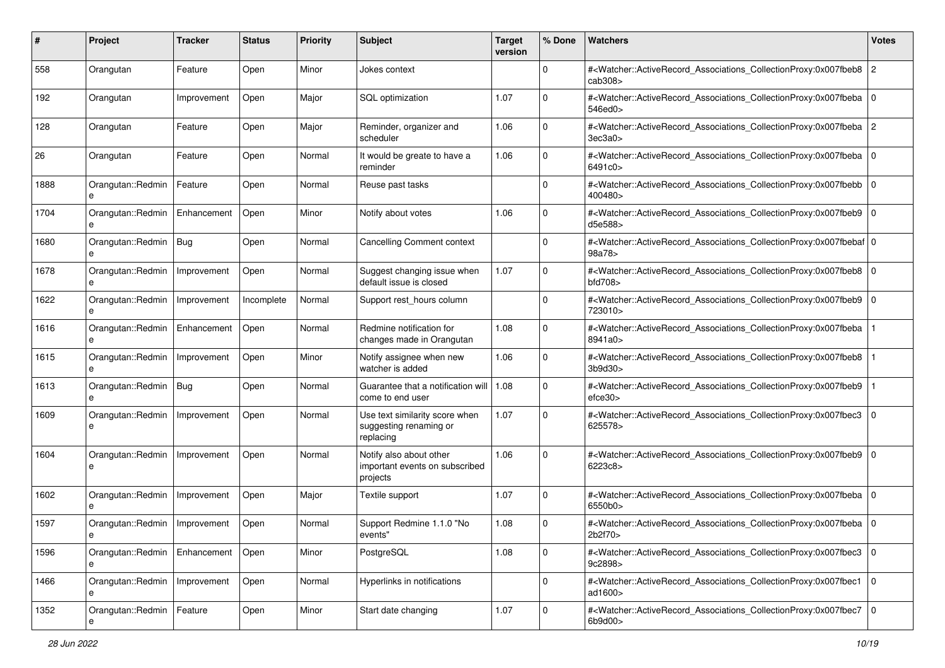| #    | Project                              | Tracker     | <b>Status</b> | <b>Priority</b> | <b>Subject</b>                                                        | <b>Target</b><br>version | % Done      | Watchers                                                                                                                                                     | <b>Votes</b>   |
|------|--------------------------------------|-------------|---------------|-----------------|-----------------------------------------------------------------------|--------------------------|-------------|--------------------------------------------------------------------------------------------------------------------------------------------------------------|----------------|
| 558  | Orangutan                            | Feature     | Open          | Minor           | Jokes context                                                         |                          | $\mathbf 0$ | # <watcher::activerecord_associations_collectionproxy:0x007fbeb8<br>cab308<sub>&gt;</sub></watcher::activerecord_associations_collectionproxy:0x007fbeb8<br> | $\overline{2}$ |
| 192  | Orangutan                            | Improvement | Open          | Major           | SQL optimization                                                      | 1.07                     | $\Omega$    | # <watcher::activerecord_associations_collectionproxy:0x007fbeba<br>546ed0&gt;</watcher::activerecord_associations_collectionproxy:0x007fbeba<br>            | l 0            |
| 128  | Orangutan                            | Feature     | Open          | Major           | Reminder, organizer and<br>scheduler                                  | 1.06                     | $\mathbf 0$ | # <watcher::activerecord_associations_collectionproxy:0x007fbeba 2<br=""  ="">3ec3a0</watcher::activerecord_associations_collectionproxy:0x007fbeba>         |                |
| 26   | Orangutan                            | Feature     | Open          | Normal          | It would be greate to have a<br>reminder                              | 1.06                     | $\mathbf 0$ | # <watcher::activerecord_associations_collectionproxy:0x007fbeba 0<br=""  ="">6491c0&gt;</watcher::activerecord_associations_collectionproxy:0x007fbeba>     |                |
| 1888 | Orangutan::Redmin<br>e               | Feature     | Open          | Normal          | Reuse past tasks                                                      |                          | $\Omega$    | # <watcher::activerecord_associations_collectionproxy:0x007fbebb 0<br=""  ="">400480&gt;</watcher::activerecord_associations_collectionproxy:0x007fbebb>     |                |
| 1704 | Orangutan::Redmin                    | Enhancement | Open          | Minor           | Notify about votes                                                    | 1.06                     | $\Omega$    | # <watcher::activerecord_associations_collectionproxy:0x007fbeb9 0<br="">d5e588&gt;</watcher::activerecord_associations_collectionproxy:0x007fbeb9>          |                |
| 1680 | Orangutan::Redmin                    | Bug         | Open          | Normal          | <b>Cancelling Comment context</b>                                     |                          | $\mathbf 0$ | # <watcher::activerecord_associations_collectionproxy:0x007fbebaf 0<br=""  ="">98a78&gt;</watcher::activerecord_associations_collectionproxy:0x007fbebaf>    |                |
| 1678 | Orangutan::Redmin<br>e               | Improvement | Open          | Normal          | Suggest changing issue when<br>default issue is closed                | 1.07                     | $\mathbf 0$ | # <watcher::activerecord_associations_collectionproxy:0x007fbeb8 0<br="">bfd708</watcher::activerecord_associations_collectionproxy:0x007fbeb8>              |                |
| 1622 | Orangutan::Redmin<br>e               | Improvement | Incomplete    | Normal          | Support rest_hours column                                             |                          | $\Omega$    | # <watcher::activerecord_associations_collectionproxy:0x007fbeb9 0<br="">723010&gt;</watcher::activerecord_associations_collectionproxy:0x007fbeb9>          |                |
| 1616 | Orangutan::Redmin<br>e               | Enhancement | Open          | Normal          | Redmine notification for<br>changes made in Orangutan                 | 1.08                     | $\mathbf 0$ | # <watcher::activerecord_associations_collectionproxy:0x007fbeba<br>8941a0&gt;</watcher::activerecord_associations_collectionproxy:0x007fbeba<br>            |                |
| 1615 | Orangutan::Redmin<br>e               | Improvement | Open          | Minor           | Notify assignee when new<br>watcher is added                          | 1.06                     | $\mathbf 0$ | # <watcher::activerecord_associations_collectionproxy:0x007fbeb8<br>3b9d30&gt;</watcher::activerecord_associations_collectionproxy:0x007fbeb8<br>            |                |
| 1613 | Orangutan::Redmin<br>e               | <b>Bug</b>  | Open          | Normal          | Guarantee that a notification will   1.08<br>come to end user         |                          | $\Omega$    | # <watcher::activerecord_associations_collectionproxy:0x007fbeb9<br>efce30&gt;</watcher::activerecord_associations_collectionproxy:0x007fbeb9<br>            |                |
| 1609 | Orangutan::Redmin                    | Improvement | Open          | Normal          | Use text similarity score when<br>suggesting renaming or<br>replacing | 1.07                     | $\Omega$    | # <watcher::activerecord_associations_collectionproxy:0x007fbec3 0<br="">625578&gt;</watcher::activerecord_associations_collectionproxy:0x007fbec3>          |                |
| 1604 | Orangutan::Redmin                    | Improvement | Open          | Normal          | Notify also about other<br>important events on subscribed<br>projects | 1.06                     | $\Omega$    | # <watcher::activerecord_associations_collectionproxy:0x007fbeb9 0<br=""  ="">6223c8&gt;</watcher::activerecord_associations_collectionproxy:0x007fbeb9>     |                |
| 1602 | Orangutan::Redmin                    | Improvement | Open          | Major           | Textile support                                                       | 1.07                     | $\mathbf 0$ | # <watcher::activerecord_associations_collectionproxy:0x007fbeba 0<br="">6550b0&gt;</watcher::activerecord_associations_collectionproxy:0x007fbeba>          |                |
| 1597 | Orangutan::Redmin                    | Improvement | Open          | Normal          | Support Redmine 1.1.0 "No<br>events"                                  | 1.08                     | $\Omega$    | # <watcher::activerecord_associations_collectionproxy:0x007fbeba 0<br="">2b2f70&gt;</watcher::activerecord_associations_collectionproxy:0x007fbeba>          |                |
| 1596 | Orangutan::Redmin   Enhancement<br>e |             | Open          | Minor           | PostgreSQL                                                            | 1.08                     | 0           | # <watcher::activerecord_associations_collectionproxy:0x007fbec3 0<br="">9c2898&gt;</watcher::activerecord_associations_collectionproxy:0x007fbec3>          |                |
| 1466 | Orangutan::Redmin<br>e               | Improvement | Open          | Normal          | Hyperlinks in notifications                                           |                          | $\mathbf 0$ | # <watcher::activerecord_associations_collectionproxy:0x007fbec1 0<br="">ad1600&gt;</watcher::activerecord_associations_collectionproxy:0x007fbec1>          |                |
| 1352 | Orangutan::Redmin                    | Feature     | Open          | Minor           | Start date changing                                                   | 1.07                     | 0           | # <watcher::activerecord_associations_collectionproxy:0x007fbec7 0<br="">6b9d00&gt;</watcher::activerecord_associations_collectionproxy:0x007fbec7>          |                |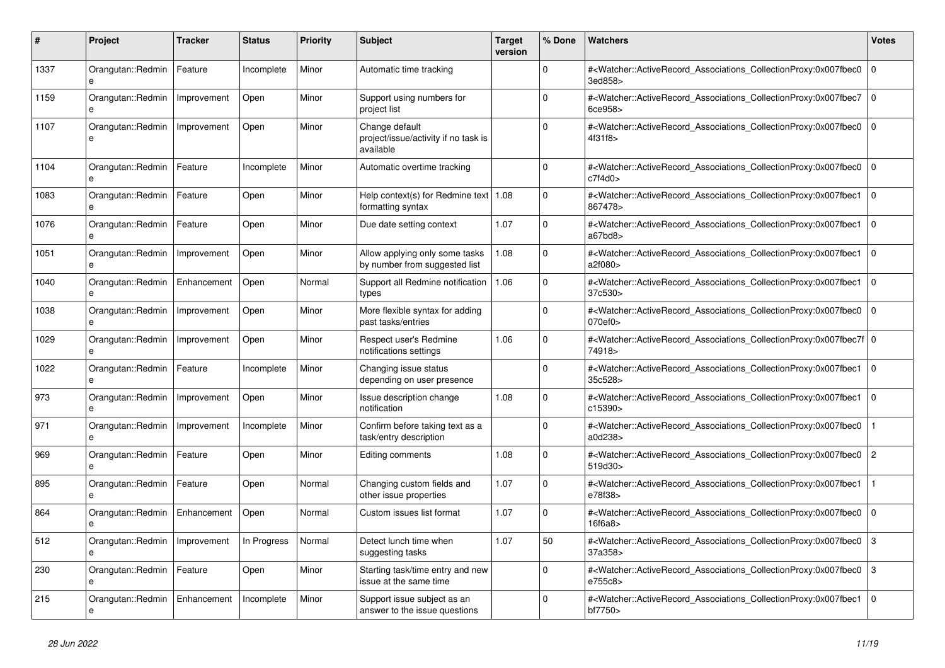| #    | Project                              | Tracker     | <b>Status</b> | <b>Priority</b> | <b>Subject</b>                                                      | <b>Target</b><br>version | % Done   | <b>Watchers</b>                                                                                                                                           | <b>Votes</b>   |
|------|--------------------------------------|-------------|---------------|-----------------|---------------------------------------------------------------------|--------------------------|----------|-----------------------------------------------------------------------------------------------------------------------------------------------------------|----------------|
| 1337 | Orangutan::Redmin<br>e               | Feature     | Incomplete    | Minor           | Automatic time tracking                                             |                          | $\Omega$ | # <watcher::activerecord associations="" collectionproxy:0x007fbec0<br="">3ed858&gt;</watcher::activerecord>                                              | $\Omega$       |
| 1159 | Orangutan::Redmin<br>e               | Improvement | Open          | Minor           | Support using numbers for<br>project list                           |                          | $\Omega$ | # <watcher::activerecord_associations_collectionproxy:0x007fbec7<br>6ce958&gt;</watcher::activerecord_associations_collectionproxy:0x007fbec7<br>         | $\mathbf 0$    |
| 1107 | Orangutan::Redmin<br>e               | Improvement | Open          | Minor           | Change default<br>project/issue/activity if no task is<br>available |                          | $\Omega$ | # <watcher::activerecord associations="" collectionproxy:0x007fbec0<br="">4f31f8&gt;</watcher::activerecord>                                              | $\overline{0}$ |
| 1104 | Orangutan::Redmin<br>e               | Feature     | Incomplete    | Minor           | Automatic overtime tracking                                         |                          | $\Omega$ | # <watcher::activerecord_associations_collectionproxy:0x007fbec0<br>c7f4d0</watcher::activerecord_associations_collectionproxy:0x007fbec0<br>             | $\Omega$       |
| 1083 | Orangutan::Redmin<br>e               | Feature     | Open          | Minor           | Help context(s) for Redmine text   $1.08$<br>formatting syntax      |                          | $\Omega$ | # <watcher::activerecord associations="" collectionproxy:0x007fbec1<br="">867478&gt;</watcher::activerecord>                                              | $\mathbf 0$    |
| 1076 | Orangutan::Redmin<br>e               | Feature     | Open          | Minor           | Due date setting context                                            | 1.07                     | $\Omega$ | # <watcher::activerecord_associations_collectionproxy:0x007fbec1<br>a67bd8</watcher::activerecord_associations_collectionproxy:0x007fbec1<br>             | $\Omega$       |
| 1051 | Orangutan::Redmin<br>e               | Improvement | Open          | Minor           | Allow applying only some tasks<br>by number from suggested list     | 1.08                     | $\Omega$ | # <watcher::activerecord associations="" collectionproxy:0x007fbec1<br="">a2f080&gt;</watcher::activerecord>                                              | $\mathbf 0$    |
| 1040 | Orangutan::Redmin<br>e               | Enhancement | Open          | Normal          | Support all Redmine notification<br>types                           | 1.06                     | $\Omega$ | # <watcher::activerecord associations="" collectionproxy:0x007fbec1<br="">37c530&gt;</watcher::activerecord>                                              | $\mathbf 0$    |
| 1038 | Orangutan::Redmin<br>e               | Improvement | Open          | Minor           | More flexible syntax for adding<br>past tasks/entries               |                          | $\Omega$ | # <watcher::activerecord_associations_collectionproxy:0x007fbec0<br>070ef0&gt;</watcher::activerecord_associations_collectionproxy:0x007fbec0<br>         | $\Omega$       |
| 1029 | Orangutan::Redmin                    | Improvement | Open          | Minor           | Respect user's Redmine<br>notifications settings                    | 1.06                     | $\Omega$ | # <watcher::activerecord_associations_collectionproxy:0x007fbec7f 0<br=""  ="">74918&gt;</watcher::activerecord_associations_collectionproxy:0x007fbec7f> |                |
| 1022 | Orangutan::Redmin<br>e               | Feature     | Incomplete    | Minor           | Changing issue status<br>depending on user presence                 |                          | $\Omega$ | # <watcher::activerecord_associations_collectionproxy:0x007fbec1<br>35c528&gt;</watcher::activerecord_associations_collectionproxy:0x007fbec1<br>         | $\Omega$       |
| 973  | Orangutan::Redmin<br>e               | Improvement | Open          | Minor           | Issue description change<br>notification                            | 1.08                     | $\Omega$ | # <watcher::activerecord_associations_collectionproxy:0x007fbec1<br>c15390&gt;</watcher::activerecord_associations_collectionproxy:0x007fbec1<br>         | $\Omega$       |
| 971  | Orangutan::Redmin<br>e               | Improvement | Incomplete    | Minor           | Confirm before taking text as a<br>task/entry description           |                          | $\Omega$ | # <watcher::activerecord associations="" collectionproxy:0x007fbec0<br="">a0d238&gt;</watcher::activerecord>                                              |                |
| 969  | Orangutan::Redmin<br>e               | Feature     | Open          | Minor           | Editing comments                                                    | 1.08                     | $\Omega$ | # <watcher::activerecord_associations_collectionproxy:0x007fbec0<br>519d30&gt;</watcher::activerecord_associations_collectionproxy:0x007fbec0<br>         | $\overline{2}$ |
| 895  | Orangutan::Redmin<br>e               | Feature     | Open          | Normal          | Changing custom fields and<br>other issue properties                | 1.07                     | $\Omega$ | # <watcher::activerecord associations="" collectionproxy:0x007fbec1<br="">e78f38&gt;</watcher::activerecord>                                              |                |
| 864  | Orangutan::Redmin                    | Enhancement | Open          | Normal          | Custom issues list format                                           | 1.07                     | $\Omega$ | # <watcher::activerecord_associations_collectionproxy:0x007fbec0<br>16f6a8</watcher::activerecord_associations_collectionproxy:0x007fbec0<br>             | $\Omega$       |
| 512  | Orangutan::Redmin<br>e               | Improvement | In Progress   | Normal          | Detect lunch time when<br>suggesting tasks                          | 1.07                     | 50       | # <watcher::activerecord associations="" collectionproxy:0x007fbec0<br="">37a358&gt;</watcher::activerecord>                                              | 3              |
| 230  | Orangutan::Redmin<br>e               | Feature     | Open          | Minor           | Starting task/time entry and new<br>issue at the same time          |                          | $\Omega$ | # <watcher::activerecord_associations_collectionproxy:0x007fbec0<br>e755c8&gt;</watcher::activerecord_associations_collectionproxy:0x007fbec0<br>         | 3              |
| 215  | Orangutan::Redmin   Enhancement<br>e |             | Incomplete    | Minor           | Support issue subject as an<br>answer to the issue questions        |                          | $\Omega$ | # <watcher::activerecord_associations_collectionproxy:0x007fbec1<br>bf7750&gt;</watcher::activerecord_associations_collectionproxy:0x007fbec1<br>         | $\Omega$       |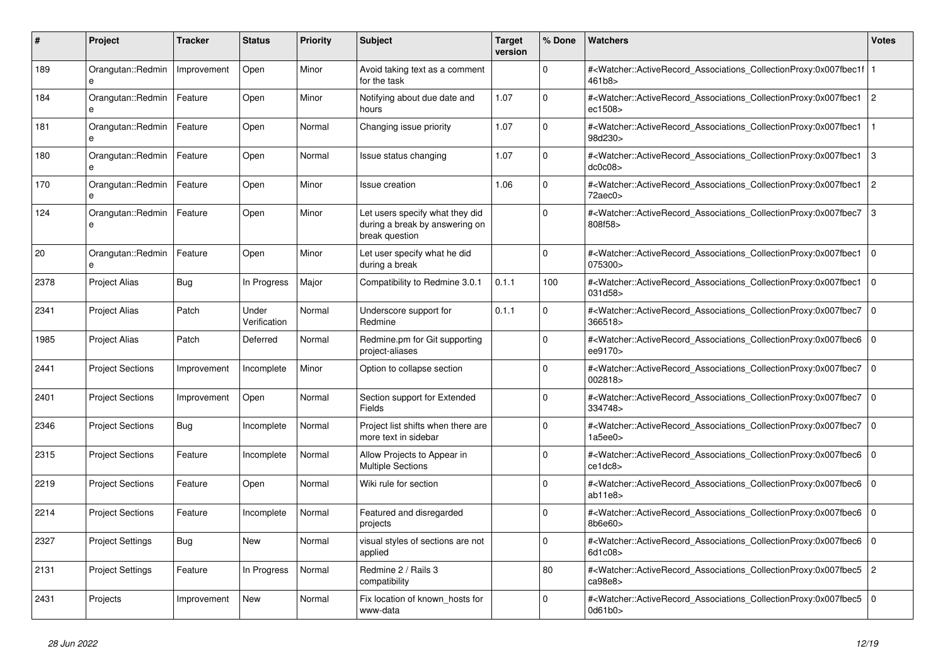| #    | <b>Project</b>                    | Tracker     | <b>Status</b>         | <b>Priority</b> | <b>Subject</b>                                                                      | <b>Target</b><br>version | % Done      | <b>Watchers</b>                                                                                                                                    | <b>Votes</b>   |
|------|-----------------------------------|-------------|-----------------------|-----------------|-------------------------------------------------------------------------------------|--------------------------|-------------|----------------------------------------------------------------------------------------------------------------------------------------------------|----------------|
| 189  | Orangutan::Redmin<br>e            | Improvement | Open                  | Minor           | Avoid taking text as a comment<br>for the task                                      |                          | $\Omega$    | # <watcher::activerecord_associations_collectionproxy:0x007fbec1f<br>461b8&gt;</watcher::activerecord_associations_collectionproxy:0x007fbec1f<br> |                |
| 184  | Orangutan::Redmin<br>e            | Feature     | Open                  | Minor           | Notifying about due date and<br>hours                                               | 1.07                     | $\Omega$    | # <watcher::activerecord associations="" collectionproxy:0x007fbec1<br="">ec1508&gt;</watcher::activerecord>                                       | $\overline{2}$ |
| 181  | Orangutan::Redmin<br>$\mathbf{a}$ | Feature     | Open                  | Normal          | Changing issue priority                                                             | 1.07                     | $\Omega$    | # <watcher::activerecord associations="" collectionproxy:0x007fbec1<br="">98d230&gt;</watcher::activerecord>                                       |                |
| 180  | Orangutan::Redmin                 | Feature     | Open                  | Normal          | Issue status changing                                                               | 1.07                     | $\Omega$    | # <watcher::activerecord_associations_collectionproxy:0x007fbec1<br>dc0c08</watcher::activerecord_associations_collectionproxy:0x007fbec1<br>      | 3              |
| 170  | Orangutan::Redmin<br>e            | Feature     | Open                  | Minor           | <b>Issue creation</b>                                                               | 1.06                     | $\Omega$    | # <watcher::activerecord_associations_collectionproxy:0x007fbec1<br>72aec0&gt;</watcher::activerecord_associations_collectionproxy:0x007fbec1<br>  | $\overline{2}$ |
| 124  | Orangutan::Redmin                 | Feature     | Open                  | Minor           | Let users specify what they did<br>during a break by answering on<br>break question |                          | $\Omega$    | # <watcher::activerecord associations="" collectionproxy:0x007fbec7<br="">808f58&gt;</watcher::activerecord>                                       | 3              |
| 20   | Orangutan::Redmin<br>e            | Feature     | Open                  | Minor           | Let user specify what he did<br>during a break                                      |                          | $\Omega$    | # <watcher::activerecord_associations_collectionproxy:0x007fbec1<br>075300&gt;</watcher::activerecord_associations_collectionproxy:0x007fbec1<br>  | $\Omega$       |
| 2378 | <b>Project Alias</b>              | Bug         | In Progress           | Major           | Compatibility to Redmine 3.0.1                                                      | 0.1.1                    | 100         | # <watcher::activerecord_associations_collectionproxy:0x007fbec1<br>031d58&gt;</watcher::activerecord_associations_collectionproxy:0x007fbec1<br>  | $\mathbf 0$    |
| 2341 | <b>Project Alias</b>              | Patch       | Under<br>Verification | Normal          | Underscore support for<br>Redmine                                                   | 0.1.1                    | $\mathbf 0$ | # <watcher::activerecord associations="" collectionproxy:0x007fbec7<br="">366518&gt;</watcher::activerecord>                                       | l o            |
| 1985 | <b>Project Alias</b>              | Patch       | Deferred              | Normal          | Redmine.pm for Git supporting<br>project-aliases                                    |                          | $\Omega$    | # <watcher::activerecord_associations_collectionproxy:0x007fbec6<br>ee9170&gt;</watcher::activerecord_associations_collectionproxy:0x007fbec6<br>  | $\mathbf 0$    |
| 2441 | <b>Project Sections</b>           | Improvement | Incomplete            | Minor           | Option to collapse section                                                          |                          | $\Omega$    | # <watcher::activerecord associations="" collectionproxy:0x007fbec7<br="">002818&gt;</watcher::activerecord>                                       | $\mathbf{0}$   |
| 2401 | <b>Project Sections</b>           | Improvement | Open                  | Normal          | Section support for Extended<br><b>Fields</b>                                       |                          | $\Omega$    | # <watcher::activerecord associations="" collectionproxy:0x007fbec7<br="">334748&gt;</watcher::activerecord>                                       | $\mathbf 0$    |
| 2346 | <b>Project Sections</b>           | Bug         | Incomplete            | Normal          | Project list shifts when there are<br>more text in sidebar                          |                          | $\Omega$    | # <watcher::activerecord_associations_collectionproxy:0x007fbec7<br>1a5ee0</watcher::activerecord_associations_collectionproxy:0x007fbec7<br>      | $\Omega$       |
| 2315 | <b>Project Sections</b>           | Feature     | Incomplete            | Normal          | Allow Projects to Appear in<br><b>Multiple Sections</b>                             |                          | $\Omega$    | # <watcher::activerecord associations="" collectionproxy:0x007fbec6=""  <br="">ce1dc8</watcher::activerecord>                                      | $\mathbf 0$    |
| 2219 | <b>Project Sections</b>           | Feature     | Open                  | Normal          | Wiki rule for section                                                               |                          | $\Omega$    | # <watcher::activerecord associations="" collectionproxy:0x007fbec6<br="">ab11e8</watcher::activerecord>                                           | $\mathbf 0$    |
| 2214 | <b>Project Sections</b>           | Feature     | Incomplete            | Normal          | Featured and disregarded<br>projects                                                |                          | $\Omega$    | # <watcher::activerecord_associations_collectionproxy:0x007fbec6<br>8b6e60</watcher::activerecord_associations_collectionproxy:0x007fbec6<br>      | $\Omega$       |
| 2327 | <b>Project Settings</b>           | <b>Bug</b>  | New                   | Normal          | visual styles of sections are not<br>applied                                        |                          | $\Omega$    | # <watcher::activerecord associations="" collectionproxy:0x007fbec6<br="">6d1c08&gt;</watcher::activerecord>                                       | $\mathbf 0$    |
| 2131 | <b>Project Settings</b>           | Feature     | In Progress           | Normal          | Redmine 2 / Rails 3<br>compatibility                                                |                          | 80          | # <watcher::activerecord_associations_collectionproxy:0x007fbec5<br>ca98e8&gt;</watcher::activerecord_associations_collectionproxy:0x007fbec5<br>  | $\overline{c}$ |
| 2431 | Projects                          | Improvement | New                   | Normal          | Fix location of known hosts for<br>www-data                                         |                          | $\Omega$    | # <watcher::activerecord_associations_collectionproxy:0x007fbec5<br>0d61b0&gt;</watcher::activerecord_associations_collectionproxy:0x007fbec5<br>  | $\Omega$       |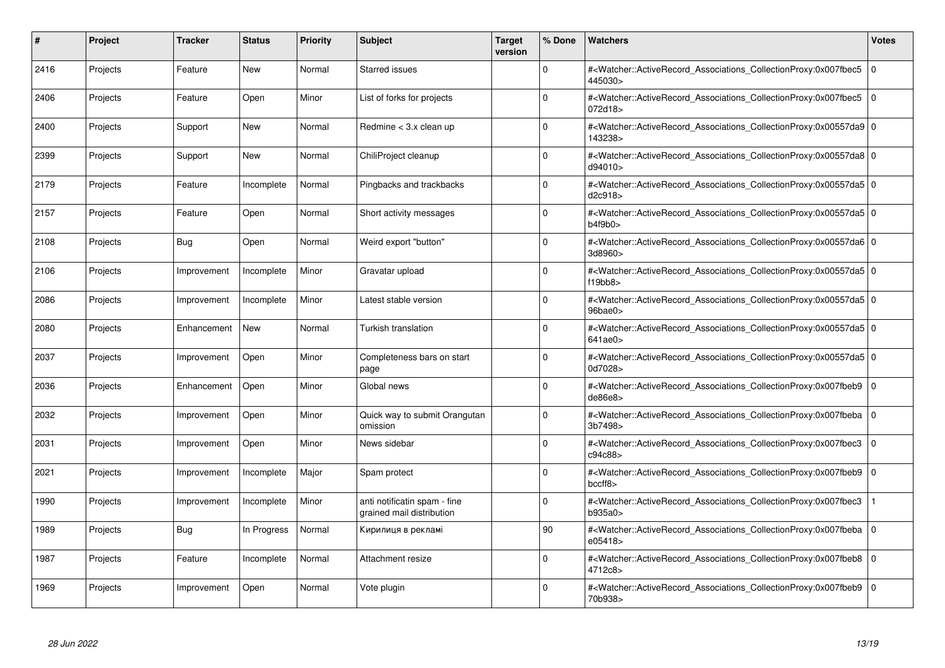| #    | Project  | <b>Tracker</b> | <b>Status</b> | <b>Priority</b> | <b>Subject</b>                                            | <b>Target</b><br>version | % Done   | Watchers                                                                                                                                                 | <b>Votes</b> |
|------|----------|----------------|---------------|-----------------|-----------------------------------------------------------|--------------------------|----------|----------------------------------------------------------------------------------------------------------------------------------------------------------|--------------|
| 2416 | Projects | Feature        | <b>New</b>    | Normal          | <b>Starred issues</b>                                     |                          | $\Omega$ | # <watcher::activerecord associations="" collectionproxy:0x007fbec5<br="">445030&gt;</watcher::activerecord>                                             | $\mathbf 0$  |
| 2406 | Projects | Feature        | Open          | Minor           | List of forks for projects                                |                          | $\Omega$ | # <watcher::activerecord associations="" collectionproxy:0x007fbec5=""  <br="">072d18&gt;</watcher::activerecord>                                        | $\mathbf 0$  |
| 2400 | Projects | Support        | <b>New</b>    | Normal          | Redmine < 3.x clean up                                    |                          | $\Omega$ | # <watcher::activerecord_associations_collectionproxy:0x00557da9 0<br="">143238&gt;</watcher::activerecord_associations_collectionproxy:0x00557da9>      |              |
| 2399 | Projects | Support        | New           | Normal          | ChiliProject cleanup                                      |                          | $\Omega$ | # <watcher::activerecord 0<br="" associations="" collectionproxy:0x00557da8=""  ="">d94010&gt;</watcher::activerecord>                                   |              |
| 2179 | Projects | Feature        | Incomplete    | Normal          | Pingbacks and trackbacks                                  |                          | $\Omega$ | # <watcher::activerecord_associations_collectionproxy:0x00557da5 0<br=""  ="">d2c918&gt;</watcher::activerecord_associations_collectionproxy:0x00557da5> |              |
| 2157 | Projects | Feature        | Open          | Normal          | Short activity messages                                   |                          | $\Omega$ | # <watcher::activerecord_associations_collectionproxy:0x00557da5 0<br=""  ="">b4f9b0&gt;</watcher::activerecord_associations_collectionproxy:0x00557da5> |              |
| 2108 | Projects | <b>Bug</b>     | Open          | Normal          | Weird export "button"                                     |                          | $\Omega$ | # <watcher::activerecord 0<br="" associations="" collectionproxy:0x00557da6=""  ="">3d8960&gt;</watcher::activerecord>                                   |              |
| 2106 | Projects | Improvement    | Incomplete    | Minor           | Gravatar upload                                           |                          | $\Omega$ | # <watcher::activerecord_associations_collectionproxy:0x00557da5 0<br=""  ="">f19bb8</watcher::activerecord_associations_collectionproxy:0x00557da5>     |              |
| 2086 | Projects | Improvement    | Incomplete    | Minor           | Latest stable version                                     |                          | $\Omega$ | # <watcher::activerecord 0<br="" associations="" collectionproxy:0x00557da5=""  ="">96bae0&gt;</watcher::activerecord>                                   |              |
| 2080 | Projects | Enhancement    | <b>New</b>    | Normal          | <b>Turkish translation</b>                                |                          | $\Omega$ | # <watcher::activerecord 0<br="" associations="" collectionproxy:0x00557da5=""  ="">641ae0&gt;</watcher::activerecord>                                   |              |
| 2037 | Projects | Improvement    | Open          | Minor           | Completeness bars on start<br>page                        |                          | $\Omega$ | # <watcher::activerecord_associations_collectionproxy:0x00557da5 0<br=""  ="">0d7028&gt;</watcher::activerecord_associations_collectionproxy:0x00557da5> |              |
| 2036 | Projects | Enhancement    | Open          | Minor           | Global news                                               |                          | $\Omega$ | # <watcher::activerecord associations="" collectionproxy:0x007fbeb9<br="">de86e8</watcher::activerecord>                                                 | $\mathbf 0$  |
| 2032 | Projects | Improvement    | Open          | Minor           | Quick way to submit Orangutan<br>omission                 |                          | $\Omega$ | # <watcher::activerecord associations="" collectionproxy:0x007fbeba<br="">3b7498&gt;</watcher::activerecord>                                             | 0            |
| 2031 | Projects | Improvement    | Open          | Minor           | News sidebar                                              |                          | $\Omega$ | # <watcher::activerecord_associations_collectionproxy:0x007fbec3<br>c94c88&gt;</watcher::activerecord_associations_collectionproxy:0x007fbec3<br>        | $\Omega$     |
| 2021 | Projects | Improvement    | Incomplete    | Major           | Spam protect                                              |                          | $\Omega$ | # <watcher::activerecord associations="" collectionproxy:0x007fbeb9=""  <br="">bccff8</watcher::activerecord>                                            | $\mathbf 0$  |
| 1990 | Projects | Improvement    | Incomplete    | Minor           | anti notificatin spam - fine<br>grained mail distribution |                          | $\Omega$ | # <watcher::activerecord_associations_collectionproxy:0x007fbec3<br>b935a0&gt;</watcher::activerecord_associations_collectionproxy:0x007fbec3<br>        |              |
| 1989 | Projects | Bug            | In Progress   | Normal          | Кирилиця в рекламі                                        |                          | 90       | # <watcher::activerecord 0<br="" associations="" collectionproxy:0x007fbeba=""  ="">e05418&gt;</watcher::activerecord>                                   |              |
| 1987 | Projects | Feature        | Incomplete    | Normal          | Attachment resize                                         |                          | $\Omega$ | # <watcher::activerecord associations="" collectionproxy:0x007fbeb8<br="">4712c8&gt;</watcher::activerecord>                                             | $\mathbf 0$  |
| 1969 | Projects | Improvement    | Open          | Normal          | Vote plugin                                               |                          | $\Omega$ | # <watcher::activerecord associations="" collectionproxy:0x007fbeb9=""  <br="">70b938&gt;</watcher::activerecord>                                        | $\mathbf 0$  |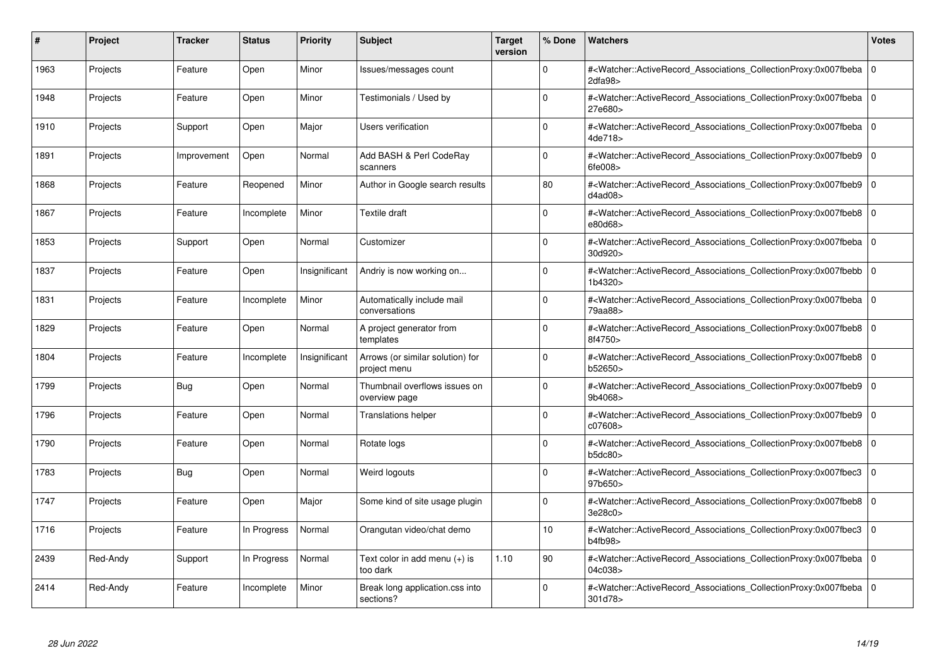| #    | Project  | <b>Tracker</b> | <b>Status</b> | <b>Priority</b> | <b>Subject</b>                                   | <b>Target</b><br>version | % Done      | Watchers                                                                                                                                                 | <b>Votes</b>   |
|------|----------|----------------|---------------|-----------------|--------------------------------------------------|--------------------------|-------------|----------------------------------------------------------------------------------------------------------------------------------------------------------|----------------|
| 1963 | Projects | Feature        | Open          | Minor           | Issues/messages count                            |                          | $\Omega$    | # <watcher::activerecord_associations_collectionproxy:0x007fbeba<br>2dfa98</watcher::activerecord_associations_collectionproxy:0x007fbeba<br>            | $\Omega$       |
| 1948 | Projects | Feature        | Open          | Minor           | Testimonials / Used by                           |                          | $\Omega$    | # <watcher::activerecord 0<br="" associations="" collectionproxy:0x007fbeba=""  ="">27e680&gt;</watcher::activerecord>                                   |                |
| 1910 | Projects | Support        | Open          | Major           | Users verification                               |                          | $\Omega$    | # <watcher::activerecord_associations_collectionproxy:0x007fbeba<br>4de718&gt;</watcher::activerecord_associations_collectionproxy:0x007fbeba<br>        | $\mathbf 0$    |
| 1891 | Projects | Improvement    | Open          | Normal          | Add BASH & Perl CodeRay<br>scanners              |                          | $\Omega$    | # <watcher::activerecord_associations_collectionproxy:0x007fbeb9 0<br=""  ="">6fe008&gt;</watcher::activerecord_associations_collectionproxy:0x007fbeb9> |                |
| 1868 | Projects | Feature        | Reopened      | Minor           | Author in Google search results                  |                          | 80          | # <watcher::activerecord associations="" collectionproxy:0x007fbeb9<br="">d4ad08&gt;</watcher::activerecord>                                             | l 0            |
| 1867 | Projects | Feature        | Incomplete    | Minor           | Textile draft                                    |                          | $\Omega$    | # <watcher::activerecord 0<br="" associations="" collectionproxy:0x007fbeb8=""  ="">e80d68&gt;</watcher::activerecord>                                   |                |
| 1853 | Projects | Support        | Open          | Normal          | Customizer                                       |                          | $\Omega$    | # <watcher::activerecord_associations_collectionproxy:0x007fbeba<br>30d920&gt;</watcher::activerecord_associations_collectionproxy:0x007fbeba<br>        | l o            |
| 1837 | Projects | Feature        | Open          | Insignificant   | Andriy is now working on                         |                          | $\Omega$    | # <watcher::activerecord_associations_collectionproxy:0x007fbebb 0<br=""  ="">1b4320&gt;</watcher::activerecord_associations_collectionproxy:0x007fbebb> |                |
| 1831 | Projects | Feature        | Incomplete    | Minor           | Automatically include mail<br>conversations      |                          | $\Omega$    | # <watcher::activerecord associations="" collectionproxy:0x007fbeba<br="">79aa88&gt;</watcher::activerecord>                                             | l O            |
| 1829 | Projects | Feature        | Open          | Normal          | A project generator from<br>templates            |                          | $\Omega$    | # <watcher::activerecord_associations_collectionproxy:0x007fbeb8 0<br="">8f4750&gt;</watcher::activerecord_associations_collectionproxy:0x007fbeb8>      |                |
| 1804 | Projects | Feature        | Incomplete    | Insignificant   | Arrows (or similar solution) for<br>project menu |                          | $\Omega$    | # <watcher::activerecord_associations_collectionproxy:0x007fbeb8 0<br="">b52650&gt;</watcher::activerecord_associations_collectionproxy:0x007fbeb8>      |                |
| 1799 | Projects | Bug            | Open          | Normal          | Thumbnail overflows issues on<br>overview page   |                          | $\Omega$    | # <watcher::activerecord_associations_collectionproxy:0x007fbeb9<br>9b4068&gt;</watcher::activerecord_associations_collectionproxy:0x007fbeb9<br>        | l O            |
| 1796 | Projects | Feature        | Open          | Normal          | <b>Translations helper</b>                       |                          | $\mathbf 0$ | # <watcher::activerecord associations="" collectionproxy:0x007fbeb9<br="">c07608&gt;</watcher::activerecord>                                             | $\overline{0}$ |
| 1790 | Projects | Feature        | Open          | Normal          | Rotate logs                                      |                          | $\Omega$    | # <watcher::activerecord_associations_collectionproxy:0x007fbeb8<br>b5dc80&gt;</watcher::activerecord_associations_collectionproxy:0x007fbeb8<br>        | l o            |
| 1783 | Projects | <b>Bug</b>     | Open          | Normal          | Weird logouts                                    |                          | $\Omega$    | # <watcher::activerecord_associations_collectionproxy:0x007fbec3<br>97b650&gt;</watcher::activerecord_associations_collectionproxy:0x007fbec3<br>        | l 0            |
| 1747 | Projects | Feature        | Open          | Major           | Some kind of site usage plugin                   |                          | $\Omega$    | # <watcher::activerecord associations="" collectionproxy:0x007fbeb8<br="">3e28c0</watcher::activerecord>                                                 | l 0            |
| 1716 | Projects | Feature        | In Progress   | Normal          | Orangutan video/chat demo                        |                          | 10          | # <watcher::activerecord associations="" collectionproxy:0x007fbec3<br="">b4fb98</watcher::activerecord>                                                 | l O            |
| 2439 | Red-Andy | Support        | In Progress   | Normal          | Text color in add menu (+) is<br>too dark        | 1.10                     | 90          | # <watcher::activerecord associations="" collectionproxy:0x007fbeba<br="">04c038&gt;</watcher::activerecord>                                             | 0              |
| 2414 | Red-Andy | Feature        | Incomplete    | Minor           | Break long application.css into<br>sections?     |                          | $\Omega$    | # <watcher::activerecord_associations_collectionproxy:0x007fbeba 0<br=""  ="">301d78&gt;</watcher::activerecord_associations_collectionproxy:0x007fbeba> |                |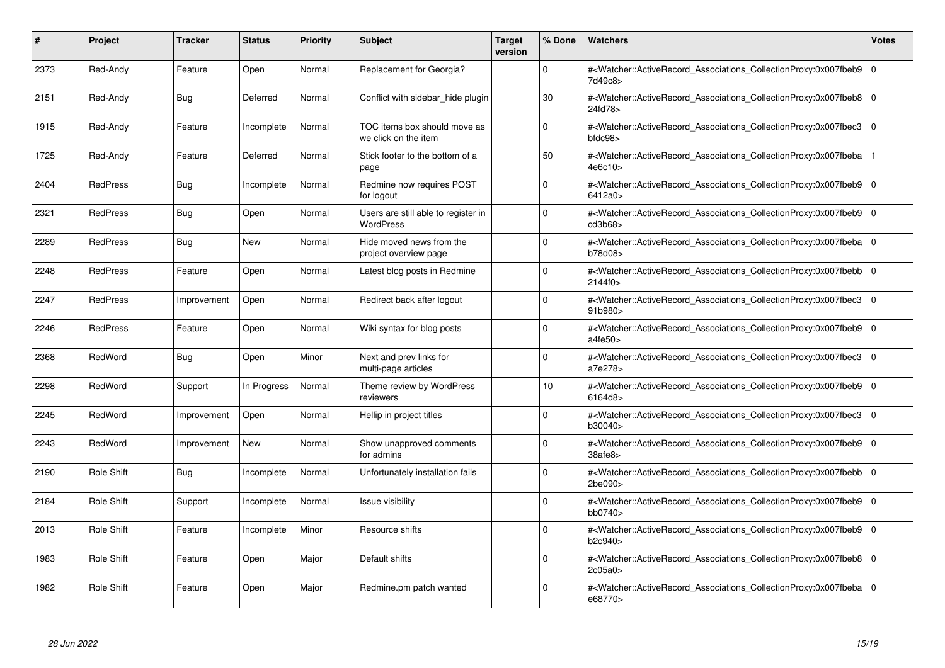| #    | Project           | <b>Tracker</b> | <b>Status</b> | <b>Priority</b> | <b>Subject</b>                                          | <b>Target</b><br>version | % Done      | <b>Watchers</b>                                                                                                                                          | <b>Votes</b> |
|------|-------------------|----------------|---------------|-----------------|---------------------------------------------------------|--------------------------|-------------|----------------------------------------------------------------------------------------------------------------------------------------------------------|--------------|
| 2373 | Red-Andy          | Feature        | Open          | Normal          | Replacement for Georgia?                                |                          | $\Omega$    | # <watcher::activerecord_associations_collectionproxy:0x007fbeb9<br>7d49c8&gt;</watcher::activerecord_associations_collectionproxy:0x007fbeb9<br>        | $\mathbf 0$  |
| 2151 | Red-Andy          | Bug            | Deferred      | Normal          | Conflict with sidebar hide plugin                       |                          | 30          | # <watcher::activerecord 0<br="" associations="" collectionproxy:0x007fbeb8=""  ="">24fd78&gt;</watcher::activerecord>                                   |              |
| 1915 | Red-Andy          | Feature        | Incomplete    | Normal          | TOC items box should move as<br>we click on the item    |                          | $\Omega$    | # <watcher::activerecord associations="" collectionproxy:0x007fbec3<br=""><math>b</math>fdc<math>98</math></watcher::activerecord>                       | $\mathbf 0$  |
| 1725 | Red-Andy          | Feature        | Deferred      | Normal          | Stick footer to the bottom of a<br>page                 |                          | 50          | # <watcher::activerecord_associations_collectionproxy:0x007fbeba<br>4e6c10&gt;</watcher::activerecord_associations_collectionproxy:0x007fbeba<br>        |              |
| 2404 | <b>RedPress</b>   | Bug            | Incomplete    | Normal          | Redmine now requires POST<br>for logout                 |                          | $\Omega$    | # <watcher::activerecord associations="" collectionproxy:0x007fbeb9<br="">6412a0&gt;</watcher::activerecord>                                             | $\mathbf 0$  |
| 2321 | <b>RedPress</b>   | Bug            | Open          | Normal          | Users are still able to register in<br><b>WordPress</b> |                          | $\Omega$    | # <watcher::activerecord associations="" collectionproxy:0x007fbeb9<br="">cd3b68</watcher::activerecord>                                                 | $\mathbf 0$  |
| 2289 | <b>RedPress</b>   | <b>Bug</b>     | New           | Normal          | Hide moved news from the<br>project overview page       |                          | $\Omega$    | # <watcher::activerecord_associations_collectionproxy:0x007fbeba 0<br=""  ="">b78d08&gt;</watcher::activerecord_associations_collectionproxy:0x007fbeba> |              |
| 2248 | <b>RedPress</b>   | Feature        | Open          | Normal          | Latest blog posts in Redmine                            |                          | $\Omega$    | # <watcher::activerecord_associations_collectionproxy:0x007fbebb  <br="">2144f0&gt;</watcher::activerecord_associations_collectionproxy:0x007fbebb>      | $\Omega$     |
| 2247 | <b>RedPress</b>   | Improvement    | Open          | Normal          | Redirect back after logout                              |                          | $\Omega$    | # <watcher::activerecord associations="" collectionproxy:0x007fbec3<br="">91b980&gt;</watcher::activerecord>                                             | $\mathbf 0$  |
| 2246 | <b>RedPress</b>   | Feature        | Open          | Normal          | Wiki syntax for blog posts                              |                          | $\Omega$    | # <watcher::activerecord associations="" collectionproxy:0x007fbeb9<br="">a4fe50&gt;</watcher::activerecord>                                             | $\mathbf 0$  |
| 2368 | RedWord           | <b>Bug</b>     | Open          | Minor           | Next and prev links for<br>multi-page articles          |                          | $\Omega$    | # <watcher::activerecord_associations_collectionproxy:0x007fbec3<br>a7e278&gt;</watcher::activerecord_associations_collectionproxy:0x007fbec3<br>        | $\mathbf 0$  |
| 2298 | RedWord           | Support        | In Progress   | Normal          | Theme review by WordPress<br>reviewers                  |                          | 10          | # <watcher::activerecord_associations_collectionproxy:0x007fbeb9<br>6164d8&gt;</watcher::activerecord_associations_collectionproxy:0x007fbeb9<br>        | $\mathbf 0$  |
| 2245 | RedWord           | Improvement    | Open          | Normal          | Hellip in project titles                                |                          | $\Omega$    | # <watcher::activerecord associations="" collectionproxy:0x007fbec3<br="">b30040&gt;</watcher::activerecord>                                             | $\mathbf 0$  |
| 2243 | RedWord           | Improvement    | New           | Normal          | Show unapproved comments<br>for admins                  |                          | $\mathbf 0$ | # <watcher::activerecord associations="" collectionproxy:0x007fbeb9<br="">38afe8&gt;</watcher::activerecord>                                             | $\mathbf 0$  |
| 2190 | Role Shift        | Bug            | Incomplete    | Normal          | Unfortunately installation fails                        |                          | $\Omega$    | # <watcher::activerecord_associations_collectionproxy:0x007fbebb 0<br=""  ="">2be090&gt;</watcher::activerecord_associations_collectionproxy:0x007fbebb> |              |
| 2184 | <b>Role Shift</b> | Support        | Incomplete    | Normal          | Issue visibility                                        |                          | $\Omega$    | # <watcher::activerecord associations="" collectionproxy:0x007fbeb9<br="">bb0740</watcher::activerecord>                                                 | $\mathbf 0$  |
| 2013 | Role Shift        | Feature        | Incomplete    | Minor           | Resource shifts                                         |                          | $\Omega$    | # <watcher::activerecord associations="" collectionproxy:0x007fbeb9=""  <br="">b2c940&gt;</watcher::activerecord>                                        | $\mathbf 0$  |
| 1983 | <b>Role Shift</b> | Feature        | Open          | Major           | Default shifts                                          |                          | $\Omega$    | # <watcher::activerecord associations="" collectionproxy:0x007fbeb8<br="">2c05a0</watcher::activerecord>                                                 | $\mathbf 0$  |
| 1982 | Role Shift        | Feature        | Open          | Major           | Redmine.pm patch wanted                                 |                          | $\Omega$    | # <watcher::activerecord_associations_collectionproxy:0x007fbeba 0<br=""  ="">e68770&gt;</watcher::activerecord_associations_collectionproxy:0x007fbeba> |              |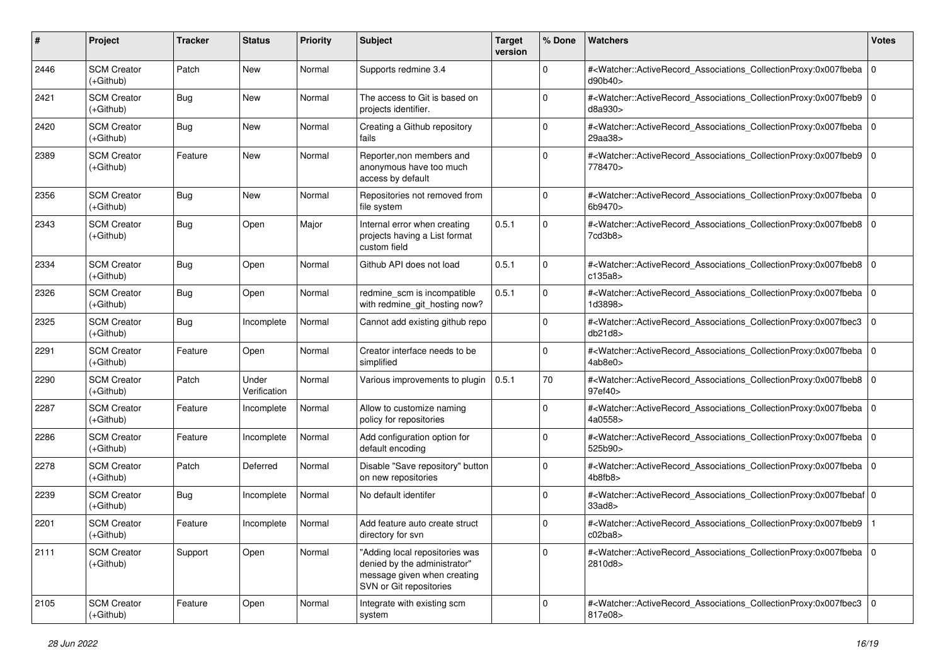| #    | Project                           | Tracker    | <b>Status</b>         | <b>Priority</b> | <b>Subject</b>                                                                                                           | <b>Target</b><br>version | % Done      | Watchers                                                                                                                                                   | <b>Votes</b> |
|------|-----------------------------------|------------|-----------------------|-----------------|--------------------------------------------------------------------------------------------------------------------------|--------------------------|-------------|------------------------------------------------------------------------------------------------------------------------------------------------------------|--------------|
| 2446 | <b>SCM Creator</b><br>(+Github)   | Patch      | New                   | Normal          | Supports redmine 3.4                                                                                                     |                          | $\mathbf 0$ | # <watcher::activerecord_associations_collectionproxy:0x007fbeba 0<br="">d90b40&gt;</watcher::activerecord_associations_collectionproxy:0x007fbeba>        |              |
| 2421 | <b>SCM Creator</b><br>$(+Github)$ | <b>Bug</b> | New                   | Normal          | The access to Git is based on<br>projects identifier.                                                                    |                          | $\Omega$    | # <watcher::activerecord_associations_collectionproxy:0x007fbeb9 0<br="">d8a930&gt;</watcher::activerecord_associations_collectionproxy:0x007fbeb9>        |              |
| 2420 | <b>SCM Creator</b><br>$(+Github)$ | Bug        | New                   | Normal          | Creating a Github repository<br>fails                                                                                    |                          | $\mathbf 0$ | # <watcher::activerecord_associations_collectionproxy:0x007fbeba 0<br="">29aa38&gt;</watcher::activerecord_associations_collectionproxy:0x007fbeba>        |              |
| 2389 | <b>SCM Creator</b><br>$(+Github)$ | Feature    | New                   | Normal          | Reporter, non members and<br>anonymous have too much<br>access by default                                                |                          | $\mathbf 0$ | # <watcher::activerecord_associations_collectionproxy:0x007fbeb9 0<br="">778470&gt;</watcher::activerecord_associations_collectionproxy:0x007fbeb9>        |              |
| 2356 | <b>SCM Creator</b><br>$(+Github)$ | <b>Bug</b> | New                   | Normal          | Repositories not removed from<br>file system                                                                             |                          | $\mathbf 0$ | # <watcher::activerecord_associations_collectionproxy:0x007fbeba 0<br=""  ="">6b9470&gt;</watcher::activerecord_associations_collectionproxy:0x007fbeba>   |              |
| 2343 | <b>SCM Creator</b><br>$(+Github)$ | Bug        | Open                  | Major           | Internal error when creating<br>projects having a List format<br>custom field                                            | 0.5.1                    | $\mathbf 0$ | # <watcher::activerecord_associations_collectionproxy:0x007fbeb8 0<br=""  ="">7cd3b8&gt;</watcher::activerecord_associations_collectionproxy:0x007fbeb8>   |              |
| 2334 | <b>SCM Creator</b><br>(+Github)   | Bug        | Open                  | Normal          | Github API does not load                                                                                                 | 0.5.1                    | $\mathbf 0$ | # <watcher::activerecord_associations_collectionproxy:0x007fbeb8 0<br=""  ="">c135a8</watcher::activerecord_associations_collectionproxy:0x007fbeb8>       |              |
| 2326 | <b>SCM Creator</b><br>(+Github)   | <b>Bug</b> | Open                  | Normal          | redmine_scm is incompatible<br>with redmine_git_hosting now?                                                             | 0.5.1                    | $\mathbf 0$ | # <watcher::activerecord_associations_collectionproxy:0x007fbeba 0<br="">1d3898&gt;</watcher::activerecord_associations_collectionproxy:0x007fbeba>        |              |
| 2325 | <b>SCM Creator</b><br>$(+Github)$ | Bug        | Incomplete            | Normal          | Cannot add existing github repo                                                                                          |                          | $\mathbf 0$ | # <watcher::activerecord_associations_collectionproxy:0x007fbec3<br>db21d8</watcher::activerecord_associations_collectionproxy:0x007fbec3<br>              | l 0          |
| 2291 | <b>SCM Creator</b><br>$(+Github)$ | Feature    | Open                  | Normal          | Creator interface needs to be<br>simplified                                                                              |                          | $\mathbf 0$ | # <watcher::activerecord_associations_collectionproxy:0x007fbeba 0<br="">4ab8e0&gt;</watcher::activerecord_associations_collectionproxy:0x007fbeba>        |              |
| 2290 | <b>SCM Creator</b><br>(+Github)   | Patch      | Under<br>Verification | Normal          | Various improvements to plugin                                                                                           | 0.5.1                    | 70          | # <watcher::activerecord_associations_collectionproxy:0x007fbeb8 0<br="">97ef40&gt;</watcher::activerecord_associations_collectionproxy:0x007fbeb8>        |              |
| 2287 | <b>SCM Creator</b><br>$(+Github)$ | Feature    | Incomplete            | Normal          | Allow to customize naming<br>policy for repositories                                                                     |                          | $\Omega$    | # <watcher::activerecord_associations_collectionproxy:0x007fbeba<br>4a0558&gt;</watcher::activerecord_associations_collectionproxy:0x007fbeba<br>          |              |
| 2286 | <b>SCM Creator</b><br>$(+Github)$ | Feature    | Incomplete            | Normal          | Add configuration option for<br>default encoding                                                                         |                          | $\mathbf 0$ | # <watcher::activerecord_associations_collectionproxy:0x007fbeba 0<br=""  ="">525b90&gt;</watcher::activerecord_associations_collectionproxy:0x007fbeba>   |              |
| 2278 | <b>SCM Creator</b><br>(+Github)   | Patch      | Deferred              | Normal          | Disable "Save repository" button<br>on new repositories                                                                  |                          | $\mathbf 0$ | # <watcher::activerecord_associations_collectionproxy:0x007fbeba 0<br="">4b8fb8</watcher::activerecord_associations_collectionproxy:0x007fbeba>            |              |
| 2239 | <b>SCM Creator</b><br>$(+Github)$ | Bug        | Incomplete            | Normal          | No default identifer                                                                                                     |                          | $\Omega$    | # <watcher::activerecord_associations_collectionproxy:0x007fbebaf 0<br="">33a<sub>0</sub></watcher::activerecord_associations_collectionproxy:0x007fbebaf> |              |
| 2201 | <b>SCM Creator</b><br>(+Github)   | Feature    | Incomplete            | Normal          | Add feature auto create struct<br>directory for svn                                                                      |                          | $\Omega$    | # <watcher::activerecord_associations_collectionproxy:0x007fbeb9<br>c02ba8&gt;</watcher::activerecord_associations_collectionproxy:0x007fbeb9<br>          |              |
| 2111 | <b>SCM Creator</b><br>(+Github)   | Support    | Open                  | Normal          | "Adding local repositories was<br>denied by the administrator"<br>message given when creating<br>SVN or Git repositories |                          | $\mathbf 0$ | # <watcher::activerecord 0<br="" associations="" collectionproxy:0x007fbeba="">2810d8&gt;</watcher::activerecord>                                          |              |
| 2105 | <b>SCM Creator</b><br>(+Github)   | Feature    | Open                  | Normal          | Integrate with existing scm<br>system                                                                                    |                          | $\mathbf 0$ | # <watcher::activerecord_associations_collectionproxy:0x007fbec3 0<br=""  ="">817e08&gt;</watcher::activerecord_associations_collectionproxy:0x007fbec3>   |              |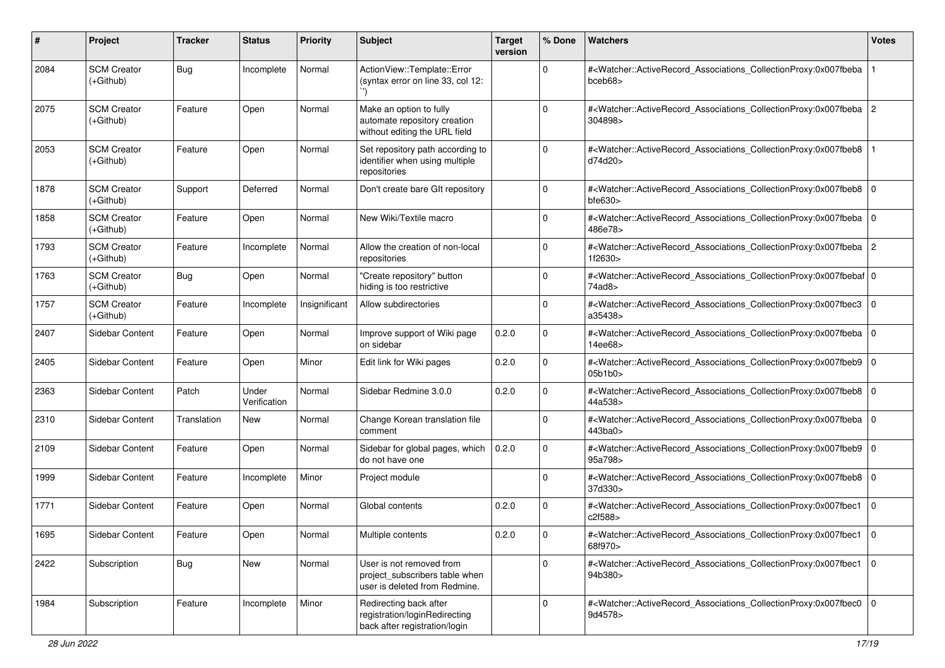| #    | Project                           | <b>Tracker</b> | <b>Status</b>         | <b>Priority</b> | <b>Subject</b>                                                                              | <b>Target</b><br>version | % Done      | Watchers                                                                                                                                                  | <b>Votes</b> |
|------|-----------------------------------|----------------|-----------------------|-----------------|---------------------------------------------------------------------------------------------|--------------------------|-------------|-----------------------------------------------------------------------------------------------------------------------------------------------------------|--------------|
| 2084 | <b>SCM Creator</b><br>(+Github)   | Bug            | Incomplete            | Normal          | ActionView::Template::Error<br>(syntax error on line 33, col 12:                            |                          | $\Omega$    | # <watcher::activerecord_associations_collectionproxy:0x007fbeba<br>bceb68&gt;</watcher::activerecord_associations_collectionproxy:0x007fbeba<br>         |              |
| 2075 | <b>SCM Creator</b><br>(+Github)   | Feature        | Open                  | Normal          | Make an option to fully<br>automate repository creation<br>without editing the URL field    |                          | $\Omega$    | # <watcher::activerecord_associations_collectionproxy:0x007fbeba 2<br="">304898&gt;</watcher::activerecord_associations_collectionproxy:0x007fbeba>       |              |
| 2053 | <b>SCM Creator</b><br>$(+Github)$ | Feature        | Open                  | Normal          | Set repository path according to<br>identifier when using multiple<br>repositories          |                          | 0           | # <watcher::activerecord_associations_collectionproxy:0x007fbeb8<br>d74d20&gt;</watcher::activerecord_associations_collectionproxy:0x007fbeb8<br>         |              |
| 1878 | <b>SCM Creator</b><br>(+Github)   | Support        | Deferred              | Normal          | Don't create bare GIt repository                                                            |                          | $\mathbf 0$ | # <watcher::activerecord_associations_collectionproxy:0x007fbeb8 0<br="">bfe630</watcher::activerecord_associations_collectionproxy:0x007fbeb8>           |              |
| 1858 | <b>SCM Creator</b><br>$(+Github)$ | Feature        | Open                  | Normal          | New Wiki/Textile macro                                                                      |                          | $\mathbf 0$ | # <watcher::activerecord_associations_collectionproxy:0x007fbeba 0<br=""  ="">486e78&gt;</watcher::activerecord_associations_collectionproxy:0x007fbeba>  |              |
| 1793 | <b>SCM Creator</b><br>$(+Github)$ | Feature        | Incomplete            | Normal          | Allow the creation of non-local<br>repositories                                             |                          | $\Omega$    | # <watcher::activerecord_associations_collectionproxy:0x007fbeba 2<br="">1f2630&gt;</watcher::activerecord_associations_collectionproxy:0x007fbeba>       |              |
| 1763 | <b>SCM Creator</b><br>(+Github)   | <b>Bug</b>     | Open                  | Normal          | "Create repository" button<br>hiding is too restrictive                                     |                          | $\Omega$    | # <watcher::activerecord_associations_collectionproxy:0x007fbebaf 0<br=""  ="">74ad8&gt;</watcher::activerecord_associations_collectionproxy:0x007fbebaf> |              |
| 1757 | <b>SCM Creator</b><br>(+Github)   | Feature        | Incomplete            | Insignificant   | Allow subdirectories                                                                        |                          | $\Omega$    | # <watcher::activerecord_associations_collectionproxy:0x007fbec3<br>a35438&gt;</watcher::activerecord_associations_collectionproxy:0x007fbec3<br>         | $\Omega$     |
| 2407 | Sidebar Content                   | Feature        | Open                  | Normal          | Improve support of Wiki page<br>on sidebar                                                  | 0.2.0                    | 0           | # <watcher::activerecord_associations_collectionproxy:0x007fbeba 0<br=""  ="">14ee68&gt;</watcher::activerecord_associations_collectionproxy:0x007fbeba>  |              |
| 2405 | Sidebar Content                   | Feature        | Open                  | Minor           | Edit link for Wiki pages                                                                    | 0.2.0                    | $\Omega$    | # <watcher::activerecord_associations_collectionproxy:0x007fbeb9 0<br="">05b1b0&gt;</watcher::activerecord_associations_collectionproxy:0x007fbeb9>       |              |
| 2363 | Sidebar Content                   | Patch          | Under<br>Verification | Normal          | Sidebar Redmine 3.0.0                                                                       | 0.2.0                    | $\Omega$    | # <watcher::activerecord_associations_collectionproxy:0x007fbeb8 0<br="">44a538&gt;</watcher::activerecord_associations_collectionproxy:0x007fbeb8>       |              |
| 2310 | Sidebar Content                   | Translation    | New                   | Normal          | Change Korean translation file<br>comment                                                   |                          | 0           | # <watcher::activerecord_associations_collectionproxy:0x007fbeba 0<br=""  ="">443ba0&gt;</watcher::activerecord_associations_collectionproxy:0x007fbeba>  |              |
| 2109 | Sidebar Content                   | Feature        | Open                  | Normal          | Sidebar for global pages, which<br>do not have one                                          | 0.2.0                    | $\mathbf 0$ | # <watcher::activerecord_associations_collectionproxy:0x007fbeb9 0<br="">95a798&gt;</watcher::activerecord_associations_collectionproxy:0x007fbeb9>       |              |
| 1999 | Sidebar Content                   | Feature        | Incomplete            | Minor           | Project module                                                                              |                          | $\Omega$    | # <watcher::activerecord_associations_collectionproxy:0x007fbeb8 0<br=""  ="">37d330&gt;</watcher::activerecord_associations_collectionproxy:0x007fbeb8>  |              |
| 1771 | Sidebar Content                   | Feature        | Open                  | Normal          | Global contents                                                                             | 0.2.0                    | $\Omega$    | # <watcher::activerecord_associations_collectionproxy:0x007fbec1<br>c2f588&gt;</watcher::activerecord_associations_collectionproxy:0x007fbec1<br>         | $\Omega$     |
| 1695 | Sidebar Content                   | Feature        | Open                  | Normal          | Multiple contents                                                                           | 0.2.0                    | 0           | # <watcher::activerecord_associations_collectionproxy:0x007fbec1 0<br="">68f970&gt;</watcher::activerecord_associations_collectionproxy:0x007fbec1>       |              |
| 2422 | Subscription                      | <b>Bug</b>     | New                   | Normal          | User is not removed from<br>project subscribers table when<br>user is deleted from Redmine. |                          | $\mathbf 0$ | # <watcher::activerecord 0<br="" associations="" collectionproxy:0x007fbec1="">94b380&gt;</watcher::activerecord>                                         |              |
| 1984 | Subscription                      | Feature        | Incomplete            | Minor           | Redirecting back after<br>registration/loginRedirecting<br>back after registration/login    |                          | $\mathbf 0$ | # <watcher::activerecord_associations_collectionproxy:0x007fbec0 0<br="">9d4578&gt;</watcher::activerecord_associations_collectionproxy:0x007fbec0>       |              |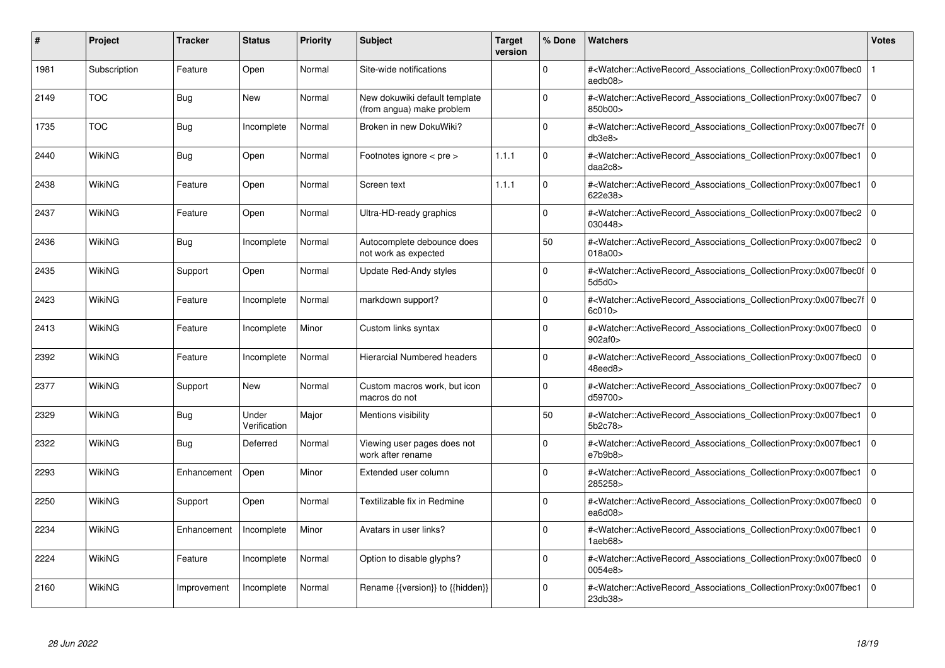| #    | Project       | <b>Tracker</b> | <b>Status</b>         | <b>Priority</b> | <b>Subject</b>                                             | <b>Target</b><br>version | % Done      | <b>Watchers</b>                                                                                                                                           | <b>Votes</b> |
|------|---------------|----------------|-----------------------|-----------------|------------------------------------------------------------|--------------------------|-------------|-----------------------------------------------------------------------------------------------------------------------------------------------------------|--------------|
| 1981 | Subscription  | Feature        | Open                  | Normal          | Site-wide notifications                                    |                          | $\Omega$    | # <watcher::activerecord associations="" collectionproxy:0x007fbec0<br="">aedb08&gt;</watcher::activerecord>                                              |              |
| 2149 | <b>TOC</b>    | Bug            | New                   | Normal          | New dokuwiki default template<br>(from angua) make problem |                          | $\Omega$    | # <watcher::activerecord associations="" collectionproxy:0x007fbec7=""  <br="">850b00&gt;</watcher::activerecord>                                         | $\Omega$     |
| 1735 | <b>TOC</b>    | <b>Bug</b>     | Incomplete            | Normal          | Broken in new DokuWiki?                                    |                          | $\Omega$    | # <watcher::activerecord 0<br="" associations="" collectionproxy:0x007fbec7f=""  ="">db3e8</watcher::activerecord>                                        |              |
| 2440 | <b>WikiNG</b> | Bug            | Open                  | Normal          | Footnotes ignore < pre >                                   | 1.1.1                    | $\Omega$    | # <watcher::activerecord_associations_collectionproxy:0x007fbec1 0<br=""  ="">daa2c8</watcher::activerecord_associations_collectionproxy:0x007fbec1>      |              |
| 2438 | <b>WikiNG</b> | Feature        | Open                  | Normal          | Screen text                                                | 1.1.1                    | $\Omega$    | # <watcher::activerecord associations="" collectionproxy:0x007fbec1<br="">622e38&gt;</watcher::activerecord>                                              | $\mathbf 0$  |
| 2437 | <b>WikiNG</b> | Feature        | Open                  | Normal          | Ultra-HD-ready graphics                                    |                          | $\Omega$    | # <watcher::activerecord associations="" collectionproxy:0x007fbec2<br="">030448&gt;</watcher::activerecord>                                              | $\mathbf 0$  |
| 2436 | <b>WikiNG</b> | <b>Bug</b>     | Incomplete            | Normal          | Autocomplete debounce does<br>not work as expected         |                          | 50          | # <watcher::activerecord_associations_collectionproxy:0x007fbec2  <br="">018a00&gt;</watcher::activerecord_associations_collectionproxy:0x007fbec2>       | $\mathbf 0$  |
| 2435 | <b>WikiNG</b> | Support        | Open                  | Normal          | Update Red-Andy styles                                     |                          | $\Omega$    | # <watcher::activerecord_associations_collectionproxy:0x007fbec0f 0<br=""  ="">5d5d0&gt;</watcher::activerecord_associations_collectionproxy:0x007fbec0f> |              |
| 2423 | <b>WikiNG</b> | Feature        | Incomplete            | Normal          | markdown support?                                          |                          | $\Omega$    | # <watcher::activerecord 0<br="" associations="" collectionproxy:0x007fbec7f=""  ="">6c010</watcher::activerecord>                                        |              |
| 2413 | <b>WikiNG</b> | Feature        | Incomplete            | Minor           | Custom links syntax                                        |                          | $\Omega$    | # <watcher::activerecord associations="" collectionproxy:0x007fbec0<br="">902af0&gt;</watcher::activerecord>                                              | $\mathbf 0$  |
| 2392 | WikiNG        | Feature        | Incomplete            | Normal          | <b>Hierarcial Numbered headers</b>                         |                          | $\Omega$    | # <watcher::activerecord_associations_collectionproxy:0x007fbec0<br>48eed8&gt;</watcher::activerecord_associations_collectionproxy:0x007fbec0<br>         | $\Omega$     |
| 2377 | <b>WikiNG</b> | Support        | <b>New</b>            | Normal          | Custom macros work, but icon<br>macros do not              |                          | $\Omega$    | # <watcher::activerecord_associations_collectionproxy:0x007fbec7<br>d59700&gt;</watcher::activerecord_associations_collectionproxy:0x007fbec7<br>         | $\mathbf 0$  |
| 2329 | WikiNG        | Bug            | Under<br>Verification | Major           | Mentions visibility                                        |                          | 50          | # <watcher::activerecord associations="" collectionproxy:0x007fbec1<br="">5b2c78&gt;</watcher::activerecord>                                              | $\mathbf 0$  |
| 2322 | WikiNG        | Bug            | Deferred              | Normal          | Viewing user pages does not<br>work after rename           |                          | $\mathbf 0$ | # <watcher::activerecord_associations_collectionproxy:0x007fbec1<br>e7b9b8</watcher::activerecord_associations_collectionproxy:0x007fbec1<br>             | $\mathbf 0$  |
| 2293 | WikiNG        | Enhancement    | Open                  | Minor           | Extended user column                                       |                          | $\Omega$    | # <watcher::activerecord associations="" collectionproxy:0x007fbec1<br="">285258&gt;</watcher::activerecord>                                              | $\Omega$     |
| 2250 | WikiNG        | Support        | Open                  | Normal          | Textilizable fix in Redmine                                |                          | $\Omega$    | # <watcher::activerecord associations="" collectionproxy:0x007fbec0<br="">ea<math>6d08</math></watcher::activerecord>                                     | $\mathbf 0$  |
| 2234 | WikiNG        | Enhancement    | Incomplete            | Minor           | Avatars in user links?                                     |                          | $\Omega$    | # <watcher::activerecord associations="" collectionproxy:0x007fbec1<br="">1aeb68</watcher::activerecord>                                                  | $\mathbf 0$  |
| 2224 | WikiNG        | Feature        | Incomplete            | Normal          | Option to disable glyphs?                                  |                          | $\Omega$    | # <watcher::activerecord associations="" collectionproxy:0x007fbec0<br="">0054e8&gt;</watcher::activerecord>                                              | $\mathbf 0$  |
| 2160 | WikiNG        | Improvement    | Incomplete            | Normal          | Rename {{version}} to {{hidden}}                           |                          | $\Omega$    | # <watcher::activerecord_associations_collectionproxy:0x007fbec1  <br="">23db38&gt;</watcher::activerecord_associations_collectionproxy:0x007fbec1>       | $\mathbf 0$  |